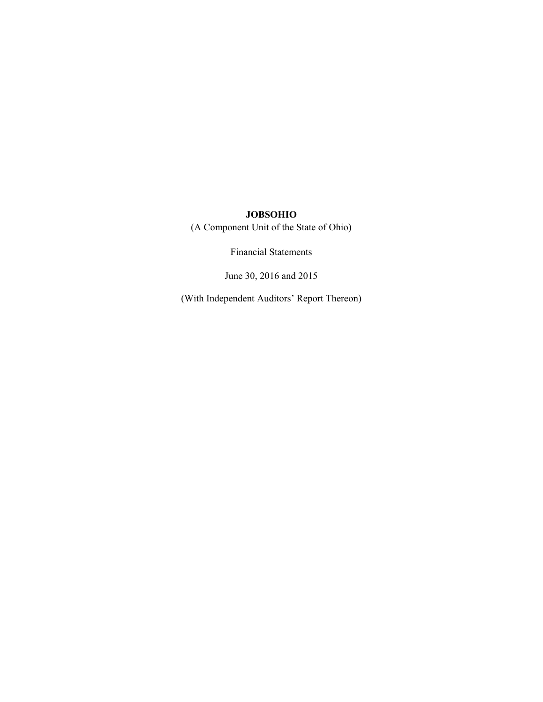(A Component Unit of the State of Ohio)

Financial Statements

June 30, 2016 and 2015

(With Independent Auditors' Report Thereon)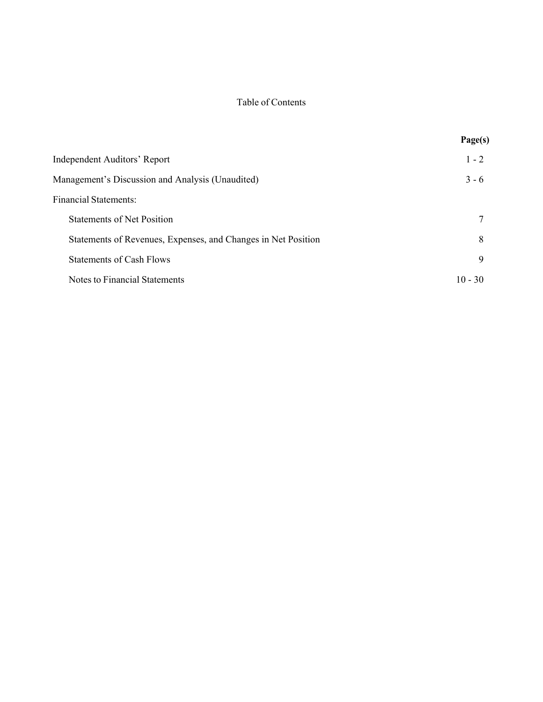# Table of Contents

|                                                               | Page(s)   |
|---------------------------------------------------------------|-----------|
| <b>Independent Auditors' Report</b>                           | $1 - 2$   |
| Management's Discussion and Analysis (Unaudited)              | $3 - 6$   |
| <b>Financial Statements:</b>                                  |           |
| <b>Statements of Net Position</b>                             |           |
| Statements of Revenues, Expenses, and Changes in Net Position | 8         |
| <b>Statements of Cash Flows</b>                               | 9         |
| <b>Notes to Financial Statements</b>                          | $10 - 30$ |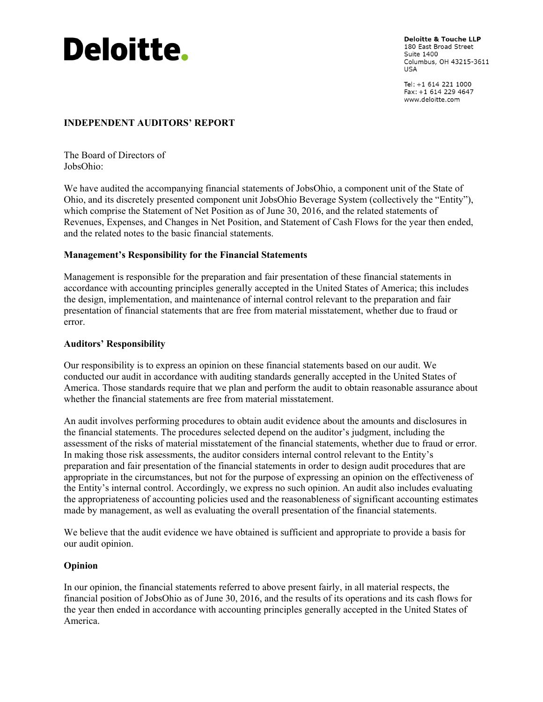

**Deloitte & Touche LLP** 180 East Broad Street Suite 1400 Columbus, OH 43215-3611 **USA** 

Tel: +1 614 221 1000 Fax: +1 614 229 4647 www.deloitte.com

# **INDEPENDENT AUDITORS' REPORT**

The Board of Directors of JobsOhio:

We have audited the accompanying financial statements of JobsOhio, a component unit of the State of Ohio, and its discretely presented component unit JobsOhio Beverage System (collectively the "Entity"), which comprise the Statement of Net Position as of June 30, 2016, and the related statements of Revenues, Expenses, and Changes in Net Position, and Statement of Cash Flows for the year then ended, and the related notes to the basic financial statements.

# **Management's Responsibility for the Financial Statements**

Management is responsible for the preparation and fair presentation of these financial statements in accordance with accounting principles generally accepted in the United States of America; this includes the design, implementation, and maintenance of internal control relevant to the preparation and fair presentation of financial statements that are free from material misstatement, whether due to fraud or error.

# **Auditors' Responsibility**

Our responsibility is to express an opinion on these financial statements based on our audit. We conducted our audit in accordance with auditing standards generally accepted in the United States of America. Those standards require that we plan and perform the audit to obtain reasonable assurance about whether the financial statements are free from material misstatement.

An audit involves performing procedures to obtain audit evidence about the amounts and disclosures in the financial statements. The procedures selected depend on the auditor's judgment, including the assessment of the risks of material misstatement of the financial statements, whether due to fraud or error. In making those risk assessments, the auditor considers internal control relevant to the Entity's preparation and fair presentation of the financial statements in order to design audit procedures that are appropriate in the circumstances, but not for the purpose of expressing an opinion on the effectiveness of the Entity's internal control. Accordingly, we express no such opinion. An audit also includes evaluating the appropriateness of accounting policies used and the reasonableness of significant accounting estimates made by management, as well as evaluating the overall presentation of the financial statements.

We believe that the audit evidence we have obtained is sufficient and appropriate to provide a basis for our audit opinion.

# **Opinion**

In our opinion, the financial statements referred to above present fairly, in all material respects, the financial position of JobsOhio as of June 30, 2016, and the results of its operations and its cash flows for the year then ended in accordance with accounting principles generally accepted in the United States of America.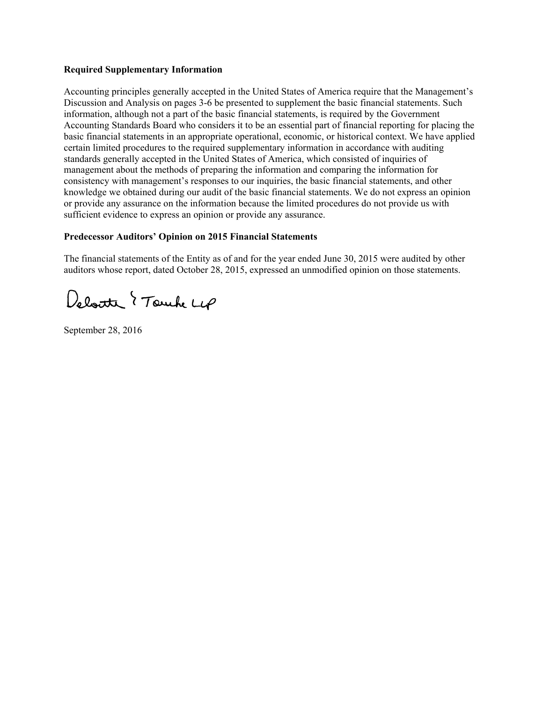## **Required Supplementary Information**

Accounting principles generally accepted in the United States of America require that the Management's Discussion and Analysis on pages 3-6 be presented to supplement the basic financial statements. Such information, although not a part of the basic financial statements, is required by the Government Accounting Standards Board who considers it to be an essential part of financial reporting for placing the basic financial statements in an appropriate operational, economic, or historical context. We have applied certain limited procedures to the required supplementary information in accordance with auditing standards generally accepted in the United States of America, which consisted of inquiries of management about the methods of preparing the information and comparing the information for consistency with management's responses to our inquiries, the basic financial statements, and other knowledge we obtained during our audit of the basic financial statements. We do not express an opinion or provide any assurance on the information because the limited procedures do not provide us with sufficient evidence to express an opinion or provide any assurance.

# **Predecessor Auditors' Opinion on 2015 Financial Statements**

The financial statements of the Entity as of and for the year ended June 30, 2015 were audited by other auditors whose report, dated October 28, 2015, expressed an unmodified opinion on those statements.

Deloitte { Touch Lep

September 28, 2016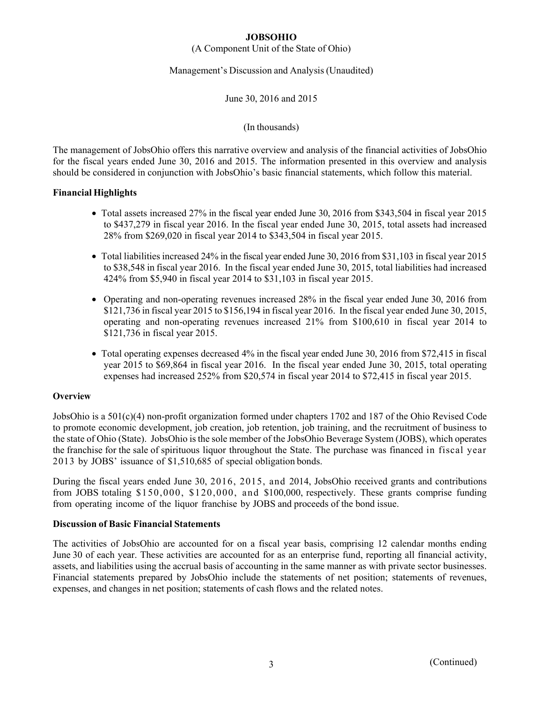# (A Component Unit of the State of Ohio)

# Management's Discussion and Analysis (Unaudited)

## June 30, 2016 and 2015

# (In thousands)

The management of JobsOhio offers this narrative overview and analysis of the financial activities of JobsOhio for the fiscal years ended June 30, 2016 and 2015. The information presented in this overview and analysis should be considered in conjunction with JobsOhio's basic financial statements, which follow this material.

# **Financial Highlights**

- Total assets increased 27% in the fiscal year ended June 30, 2016 from \$343,504 in fiscal year 2015 to \$437,279 in fiscal year 2016. In the fiscal year ended June 30, 2015, total assets had increased 28% from \$269,020 in fiscal year 2014 to \$343,504 in fiscal year 2015.
- Total liabilities increased 24% in the fiscal year ended June 30, 2016 from \$31,103 in fiscal year 2015 to \$38,548 in fiscal year 2016. In the fiscal year ended June 30, 2015, total liabilities had increased 424% from \$5,940 in fiscal year 2014 to \$31,103 in fiscal year 2015.
- Operating and non-operating revenues increased 28% in the fiscal year ended June 30, 2016 from \$121,736 in fiscal year 2015 to \$156,194 in fiscal year 2016. In the fiscal year ended June 30, 2015, operating and non-operating revenues increased 21% from \$100,610 in fiscal year 2014 to \$121,736 in fiscal year 2015.
- Total operating expenses decreased 4% in the fiscal year ended June 30, 2016 from \$72,415 in fiscal year 2015 to \$69,864 in fiscal year 2016. In the fiscal year ended June 30, 2015, total operating expenses had increased 252% from \$20,574 in fiscal year 2014 to \$72,415 in fiscal year 2015.

# **Overview**

JobsOhio is a 501(c)(4) non-profit organization formed under chapters 1702 and 187 of the Ohio Revised Code to promote economic development, job creation, job retention, job training, and the recruitment of business to the state of Ohio (State). JobsOhio is the sole member of the JobsOhio Beverage System (JOBS), which operates the franchise for the sale of spirituous liquor throughout the State. The purchase was financed in fiscal year 2013 by JOBS' issuance of \$1,510,685 of special obligation bonds.

During the fiscal years ended June 30, 2016, 2015, and 2014, JobsOhio received grants and contributions from JOBS totaling \$150,000, \$120,000, and \$100,000, respectively. These grants comprise funding from operating income of the liquor franchise by JOBS and proceeds of the bond issue.

# **Discussion of Basic Financial Statements**

The activities of JobsOhio are accounted for on a fiscal year basis, comprising 12 calendar months ending June 30 of each year. These activities are accounted for as an enterprise fund, reporting all financial activity, assets, and liabilities using the accrual basis of accounting in the same manner as with private sector businesses. Financial statements prepared by JobsOhio include the statements of net position; statements of revenues, expenses, and changes in net position; statements of cash flows and the related notes.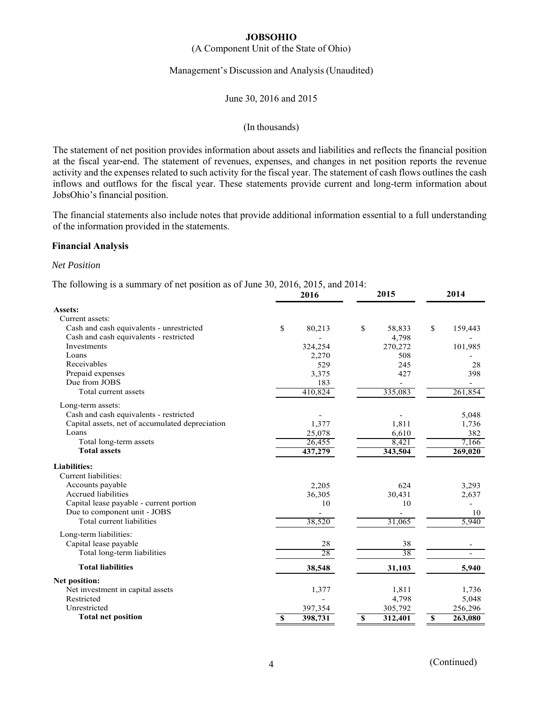# (A Component Unit of the State of Ohio)

## Management's Discussion and Analysis (Unaudited)

### June 30, 2016 and 2015

### (In thousands)

The statement of net position provides information about assets and liabilities and reflects the financial position at the fiscal year-end. The statement of revenues, expenses, and changes in net position reports the revenue activity and the expenses related to such activity for the fiscal year. The statement of cash flows outlines the cash inflows and outflows for the fiscal year. These statements provide current and long-term information about JobsOhio's financial position.

The financial statements also include notes that provide additional information essential to a full understanding of the information provided in the statements.

#### **Financial Analysis**

## *Net Position*

The following is a summary of net position as of June 30, 2016, 2015, and 2014:

| 2016                                            |                        | 2015                                 | 2014                                 |  |
|-------------------------------------------------|------------------------|--------------------------------------|--------------------------------------|--|
| Assets:                                         |                        |                                      |                                      |  |
| Current assets:                                 |                        |                                      |                                      |  |
| Cash and cash equivalents - unrestricted        | \$<br>80,213           | \$<br>58,833                         | \$<br>159,443                        |  |
| Cash and cash equivalents - restricted          |                        | 4,798                                |                                      |  |
| Investments                                     | 324,254                | 270,272                              | 101,985                              |  |
| Loans                                           | 2,270                  | 508                                  |                                      |  |
| Receivables                                     | 529                    | 245                                  | 28                                   |  |
| Prepaid expenses                                | 3,375                  | 427                                  | 398                                  |  |
| Due from JOBS                                   | 183                    | $\overline{\phantom{0}}$             | $\overline{\phantom{0}}$             |  |
| Total current assets                            | 410,824                | 335,083                              | 261,854                              |  |
| Long-term assets:                               |                        |                                      |                                      |  |
| Cash and cash equivalents - restricted          |                        |                                      | 5,048                                |  |
| Capital assets, net of accumulated depreciation | 1,377                  | 1,811                                | 1,736                                |  |
| Loans                                           | 25,078                 | 6,610                                | 382                                  |  |
| Total long-term assets                          | 26,455                 | 8,421                                | 7,166                                |  |
| <b>Total assets</b>                             | 437,279                | 343,504                              | 269,020                              |  |
| <b>Liabilities:</b>                             |                        |                                      |                                      |  |
| Current liabilities:                            |                        |                                      |                                      |  |
| Accounts payable                                | 2,205                  | 624                                  | 3,293                                |  |
| Accrued liabilities                             | 36,305                 | 30,431                               | 2,637                                |  |
| Capital lease payable - current portion         | 10                     | 10                                   |                                      |  |
| Due to component unit - JOBS                    |                        |                                      | 10                                   |  |
| Total current liabilities                       | 38,520                 | 31,065                               | 5,940                                |  |
| Long-term liabilities:                          |                        |                                      |                                      |  |
| Capital lease payable                           | 28                     | 38                                   |                                      |  |
| Total long-term liabilities                     | $\overline{28}$        | 38                                   |                                      |  |
| <b>Total liabilities</b>                        | 38,548                 | 31,103                               | 5,940                                |  |
| <b>Net position:</b>                            |                        |                                      |                                      |  |
| Net investment in capital assets                | 1,377                  | 1,811                                | 1,736                                |  |
| Restricted                                      |                        | 4,798                                | 5,048                                |  |
| Unrestricted                                    | 397,354                | 305,792                              | 256,296                              |  |
| <b>Total net position</b>                       | 398,731<br>$\mathbf s$ | $\boldsymbol{\mathsf{s}}$<br>312,401 | $\boldsymbol{\mathsf{s}}$<br>263,080 |  |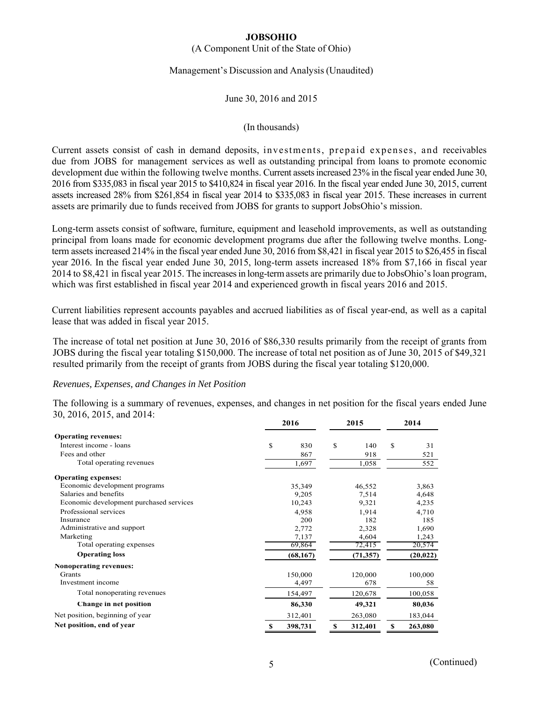# (A Component Unit of the State of Ohio)

## Management's Discussion and Analysis (Unaudited)

#### June 30, 2016 and 2015

## (In thousands)

Current assets consist of cash in demand deposits, investments, prepaid expenses, and receivables due from JOBS for management services as well as outstanding principal from loans to promote economic development due within the following twelve months. Current assets increased 23% in the fiscal year ended June 30, 2016 from \$335,083 in fiscal year 2015 to \$410,824 in fiscal year 2016. In the fiscal year ended June 30, 2015, current assets increased 28% from \$261,854 in fiscal year 2014 to \$335,083 in fiscal year 2015. These increases in current assets are primarily due to funds received from JOBS for grants to support JobsOhio's mission.

Long-term assets consist of software, furniture, equipment and leasehold improvements, as well as outstanding principal from loans made for economic development programs due after the following twelve months. Longterm assets increased 214% in the fiscal year ended June 30, 2016 from \$8,421 in fiscal year 2015 to \$26,455 in fiscal year 2016. In the fiscal year ended June 30, 2015, long-term assets increased 18% from \$7,166 in fiscal year 2014 to \$8,421 in fiscal year 2015. The increases in long-term assets are primarily due to JobsOhio's loan program, which was first established in fiscal year 2014 and experienced growth in fiscal years 2016 and 2015.

Current liabilities represent accounts payables and accrued liabilities as of fiscal year-end, as well as a capital lease that was added in fiscal year 2015.

The increase of total net position at June 30, 2016 of \$86,330 results primarily from the receipt of grants from JOBS during the fiscal year totaling \$150,000. The increase of total net position as of June 30, 2015 of \$49,321 resulted primarily from the receipt of grants from JOBS during the fiscal year totaling \$120,000.

#### *Revenues, Expenses, and Changes in Net Position*

The following is a summary of revenues, expenses, and changes in net position for the fiscal years ended June 30, 2016, 2015, and 2014:

|                                         | 2016          |    | 2015      |    | 2014      |  |
|-----------------------------------------|---------------|----|-----------|----|-----------|--|
| <b>Operating revenues:</b>              |               |    |           |    |           |  |
| Interest income - loans                 | \$<br>830     | S  | 140       | \$ | 31        |  |
| Fees and other                          | 867           |    | 918       |    | 521       |  |
| Total operating revenues                | 1,697         |    | 1,058     |    | 552       |  |
| <b>Operating expenses:</b>              |               |    |           |    |           |  |
| Economic development programs           | 35,349        |    | 46,552    |    | 3,863     |  |
| Salaries and benefits                   | 9,205         |    | 7,514     |    | 4,648     |  |
| Economic development purchased services | 10,243        |    | 9,321     |    | 4,235     |  |
| Professional services                   | 4,958         |    | 1,914     |    | 4,710     |  |
| Insurance                               | 200           |    | 182       |    | 185       |  |
| Administrative and support              | 2,772         |    | 2,328     |    | 1,690     |  |
| Marketing                               | 7,137         |    | 4,604     |    | 1,243     |  |
| Total operating expenses                | 69,864        |    | 72,415    |    | 20,574    |  |
| <b>Operating loss</b>                   | (68, 167)     |    | (71, 357) |    | (20, 022) |  |
| <b>Nonoperating revenues:</b>           |               |    |           |    |           |  |
| Grants                                  | 150,000       |    | 120,000   |    | 100,000   |  |
| Investment income                       | 4,497         |    | 678       |    | 58        |  |
| Total nonoperating revenues             | 154,497       |    | 120,678   |    | 100,058   |  |
| Change in net position                  | 86,330        |    | 49,321    |    | 80,036    |  |
| Net position, beginning of year         | 312,401       |    | 263,080   |    | 183,044   |  |
| Net position, end of year               | \$<br>398,731 | \$ | 312,401   | \$ | 263,080   |  |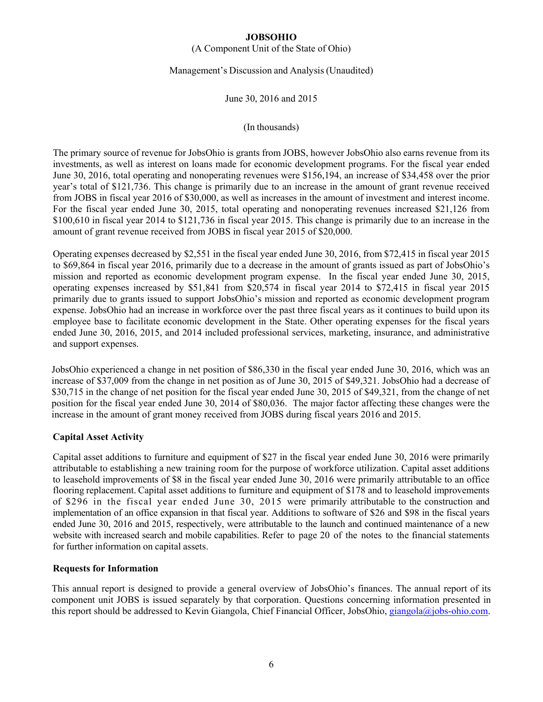# (A Component Unit of the State of Ohio)

# Management's Discussion and Analysis (Unaudited)

# June 30, 2016 and 2015

# (In thousands)

The primary source of revenue for JobsOhio is grants from JOBS, however JobsOhio also earns revenue from its investments, as well as interest on loans made for economic development programs. For the fiscal year ended June 30, 2016, total operating and nonoperating revenues were \$156,194, an increase of \$34,458 over the prior year's total of \$121,736. This change is primarily due to an increase in the amount of grant revenue received from JOBS in fiscal year 2016 of \$30,000, as well as increases in the amount of investment and interest income. For the fiscal year ended June 30, 2015, total operating and nonoperating revenues increased \$21,126 from \$100,610 in fiscal year 2014 to \$121,736 in fiscal year 2015. This change is primarily due to an increase in the amount of grant revenue received from JOBS in fiscal year 2015 of \$20,000.

Operating expenses decreased by \$2,551 in the fiscal year ended June 30, 2016, from \$72,415 in fiscal year 2015 to \$69,864 in fiscal year 2016, primarily due to a decrease in the amount of grants issued as part of JobsOhio's mission and reported as economic development program expense. In the fiscal year ended June 30, 2015, operating expenses increased by \$51,841 from \$20,574 in fiscal year 2014 to \$72,415 in fiscal year 2015 primarily due to grants issued to support JobsOhio's mission and reported as economic development program expense. JobsOhio had an increase in workforce over the past three fiscal years as it continues to build upon its employee base to facilitate economic development in the State. Other operating expenses for the fiscal years ended June 30, 2016, 2015, and 2014 included professional services, marketing, insurance, and administrative and support expenses.

JobsOhio experienced a change in net position of \$86,330 in the fiscal year ended June 30, 2016, which was an increase of \$37,009 from the change in net position as of June 30, 2015 of \$49,321. JobsOhio had a decrease of \$30,715 in the change of net position for the fiscal year ended June 30, 2015 of \$49,321, from the change of net position for the fiscal year ended June 30, 2014 of \$80,036. The major factor affecting these changes were the increase in the amount of grant money received from JOBS during fiscal years 2016 and 2015.

# **Capital Asset Activity**

Capital asset additions to furniture and equipment of \$27 in the fiscal year ended June 30, 2016 were primarily attributable to establishing a new training room for the purpose of workforce utilization. Capital asset additions to leasehold improvements of \$8 in the fiscal year ended June 30, 2016 were primarily attributable to an office flooring replacement. Capital asset additions to furniture and equipment of \$178 and to leasehold improvements of \$296 in the fiscal year ended June 30, 2015 were primarily attributable to the construction and implementation of an office expansion in that fiscal year. Additions to software of \$26 and \$98 in the fiscal years ended June 30, 2016 and 2015, respectively, were attributable to the launch and continued maintenance of a new website with increased search and mobile capabilities. Refer to page 20 of the notes to the financial statements for further information on capital assets.

# **Requests for Information**

This annual report is designed to provide a general overview of JobsOhio's finances. The annual report of its component unit JOBS is issued separately by that corporation. Questions concerning information presented in this report should be addressed to Kevin Giangola, Chief Financial Officer, JobsOhio, giangola@jobs-ohio.com.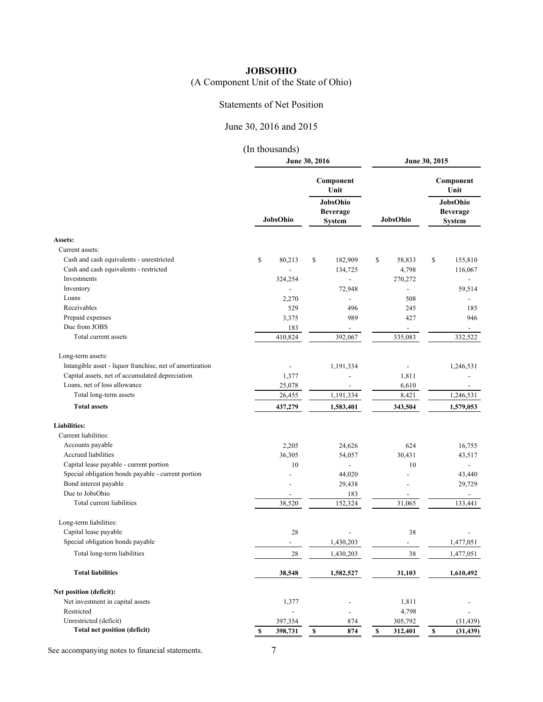(A Component Unit of the State of Ohio)

# Statements of Net Position

## June 30, 2016 and 2015

(In thousands)

|                                                          |              | June 30, 2016                    | June 30, 2015            |                                              |  |  |
|----------------------------------------------------------|--------------|----------------------------------|--------------------------|----------------------------------------------|--|--|
|                                                          |              | Component<br>Unit<br>JobsOhio    |                          | Component<br>Unit                            |  |  |
|                                                          | JobsOhio     | <b>Beverage</b><br><b>System</b> | JobsOhio                 | JobsOhio<br><b>Beverage</b><br><b>System</b> |  |  |
|                                                          |              |                                  |                          |                                              |  |  |
| Assets:<br>Current assets:                               |              |                                  |                          |                                              |  |  |
| Cash and cash equivalents - unrestricted                 | \$<br>80,213 | \$<br>182,909                    | \$<br>58,833             | \$<br>155,810                                |  |  |
| Cash and cash equivalents - restricted                   |              | 134,725                          | 4,798                    | 116,067                                      |  |  |
| Investments                                              | 324,254      | $\frac{1}{2}$                    | 270,272                  |                                              |  |  |
| Inventory                                                |              | 72,948                           | $\overline{\phantom{0}}$ | 59,514                                       |  |  |
| Loans                                                    | 2,270        | $\qquad \qquad \blacksquare$     | 508                      |                                              |  |  |
| Receivables                                              | 529          | 496                              | 245                      | 185                                          |  |  |
| Prepaid expenses                                         | 3,375        | 989                              | 427                      | 946                                          |  |  |
| Due from JOBS                                            | 183          | $\overline{\phantom{a}}$         | $\overline{\phantom{a}}$ | $\overline{\phantom{a}}$                     |  |  |
| Total current assets                                     | 410,824      | 392,067                          | 335,083                  | 332,522                                      |  |  |
| Long-term assets:                                        |              |                                  |                          |                                              |  |  |
| Intangible asset - liquor franchise, net of amortization |              | 1,191,334                        |                          | 1,246,531                                    |  |  |
| Capital assets, net of accumulated depreciation          | 1,377        |                                  | 1,811                    |                                              |  |  |
| Loans, net of loss allowance                             | 25,078       |                                  | 6,610                    |                                              |  |  |
| Total long-term assets                                   | 26,455       | 1,191,334                        | 8,421                    | 1,246,531                                    |  |  |
| <b>Total assets</b>                                      | 437,279      | 1,583,401                        | 343,504                  | 1,579,053                                    |  |  |
| <b>Liabilities:</b>                                      |              |                                  |                          |                                              |  |  |
| Current liabilities:                                     |              |                                  |                          |                                              |  |  |
| Accounts payable                                         | 2,205        | 24,626                           | 624                      | 16,755                                       |  |  |
| Accrued liabilities                                      | 36,305       | 54,057                           | 30,431                   | 43,517                                       |  |  |
| Capital lease payable - current portion                  | 10           | L,                               | 10                       |                                              |  |  |
| Special obligation bonds payable - current portion       |              | 44,020                           |                          | 43,440                                       |  |  |
| Bond interest payable                                    |              | 29,438                           |                          | 29,729                                       |  |  |
| Due to JobsOhio                                          |              | 183                              |                          |                                              |  |  |
| Total current liabilities                                | 38,520       | 152,324                          | 31,065                   | 133,441                                      |  |  |
| Long-term liabilities:                                   |              |                                  |                          |                                              |  |  |
| Capital lease payable                                    | 28           |                                  | 38                       |                                              |  |  |
| Special obligation bonds payable                         |              | 1,430,203                        |                          | 1,477,051                                    |  |  |
| Total long-term liabilities                              | 28           | 1,430,203                        | 38                       | 1,477,051                                    |  |  |
| <b>Total liabilities</b>                                 | 38,548       | 1,582,527                        | 31,103                   | 1,610,492                                    |  |  |
| Net position (deficit):                                  |              |                                  |                          |                                              |  |  |
| Net investment in capital assets                         | 1,377        |                                  | 1,811                    |                                              |  |  |
| Restricted                                               |              |                                  | 4,798                    |                                              |  |  |
| Unrestricted (deficit)                                   | 397,354      | 874                              | 305,792                  | (31, 439)                                    |  |  |
| <b>Total net position (deficit)</b>                      | 398,731<br>S | 874<br>\$                        | 312,401<br>\$            | \$<br>(31, 439)                              |  |  |

See accompanying notes to financial statements.  $7$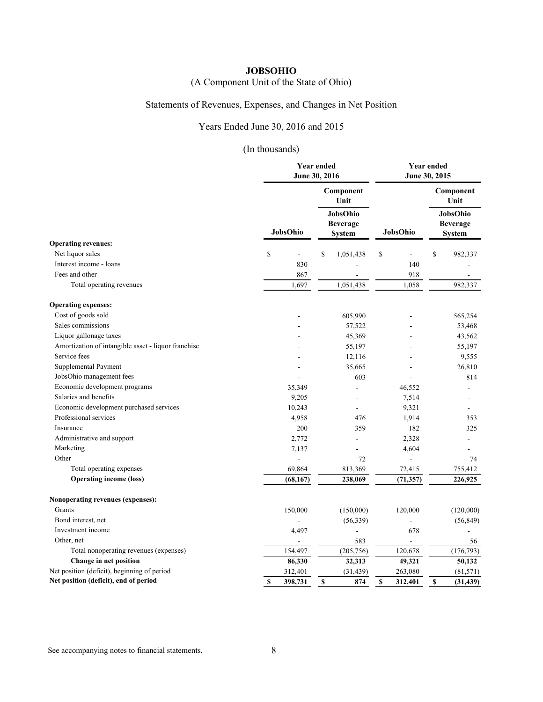# (A Component Unit of the State of Ohio)

# Statements of Revenues, Expenses, and Changes in Net Position

# Years Ended June 30, 2016 and 2015

# (In thousands)

|                                                     |              | <b>Year ended</b><br>June 30, 2016    | Year ended<br>June 30, 2015 |                                              |  |
|-----------------------------------------------------|--------------|---------------------------------------|-----------------------------|----------------------------------------------|--|
|                                                     |              | Component<br>Unit                     |                             | Component<br>Unit                            |  |
|                                                     | JobsOhio     | JobsOhio<br><b>Beverage</b><br>System | JobsOhio                    | JobsOhio<br><b>Beverage</b><br><b>System</b> |  |
| <b>Operating revenues:</b>                          |              |                                       |                             |                                              |  |
| Net liquor sales                                    | \$           | \$<br>1,051,438                       | \$                          | \$<br>982,337                                |  |
| Interest income - loans                             | 830          |                                       | 140                         |                                              |  |
| Fees and other                                      | 867          |                                       | 918                         |                                              |  |
| Total operating revenues                            | 1,697        | 1,051,438                             | 1,058                       | 982,337                                      |  |
| <b>Operating expenses:</b>                          |              |                                       |                             |                                              |  |
| Cost of goods sold                                  |              | 605,990                               |                             | 565,254                                      |  |
| Sales commissions                                   |              | 57,522                                |                             | 53,468                                       |  |
| Liquor gallonage taxes                              |              | 45,369                                |                             | 43,562                                       |  |
| Amortization of intangible asset - liquor franchise |              | 55,197                                |                             | 55,197                                       |  |
| Service fees                                        |              | 12,116                                |                             | 9,555                                        |  |
| Supplemental Payment                                |              | 35,665                                |                             | 26,810                                       |  |
| JobsOhio management fees                            |              | 603                                   |                             | 814                                          |  |
| Economic development programs                       | 35,349       |                                       | 46,552                      |                                              |  |
| Salaries and benefits                               | 9,205        | $\overline{a}$                        | 7,514                       |                                              |  |
| Economic development purchased services             | 10,243       |                                       | 9,321                       |                                              |  |
| Professional services                               | 4,958        | 476                                   | 1,914                       | 353                                          |  |
| Insurance                                           | 200          | 359                                   | 182                         | 325                                          |  |
| Administrative and support                          | 2,772        | $\overline{a}$                        | 2,328                       |                                              |  |
| Marketing                                           | 7,137        | ÷,                                    | 4,604                       |                                              |  |
| Other                                               |              | 72                                    | -                           | 74                                           |  |
| Total operating expenses                            | 69,864       | 813,369                               | 72,415                      | 755,412                                      |  |
| <b>Operating income (loss)</b>                      | (68, 167)    | 238,069                               | (71, 357)                   | 226,925                                      |  |
| Nonoperating revenues (expenses):                   |              |                                       |                             |                                              |  |
| Grants                                              | 150,000      | (150,000)                             | 120,000                     | (120,000)                                    |  |
| Bond interest, net                                  |              | (56, 339)                             |                             | (56, 849)                                    |  |
| Investment income                                   | 4,497        |                                       | 678                         |                                              |  |
| Other, net                                          |              | 583                                   |                             | 56                                           |  |
| Total nonoperating revenues (expenses)              | 154,497      | (205, 756)                            | 120,678                     | (176, 793)                                   |  |
| Change in net position                              | 86,330       | 32,313                                | 49,321                      | 50,132                                       |  |
| Net position (deficit), beginning of period         | 312,401      | (31, 439)                             | 263,080                     | (81, 571)                                    |  |
| Net position (deficit), end of period               | S<br>398,731 | \$<br>874                             | \$<br>312,401               | \$<br>(31, 439)                              |  |

See accompanying notes to financial statements. 8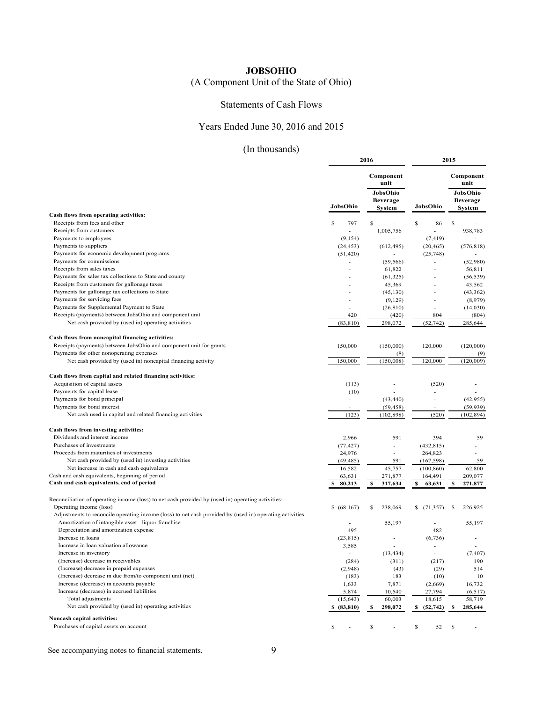# (A Component Unit of the State of Ohio)

## Statements of Cash Flows

# Years Ended June 30, 2016 and 2015

# (In thousands)

|                                                                                                          |                          | 2016                                                              | 2015            |                                                            |  |  |
|----------------------------------------------------------------------------------------------------------|--------------------------|-------------------------------------------------------------------|-----------------|------------------------------------------------------------|--|--|
|                                                                                                          | JobsOhio                 | Component<br>unit<br>JobsOhio<br><b>Beverage</b><br><b>System</b> | JobsOhio        | Component<br>unit<br>JobsOhio<br><b>Beverage</b><br>System |  |  |
| Cash flows from operating activities:                                                                    |                          |                                                                   |                 |                                                            |  |  |
| Receipts from fees and other                                                                             | \$<br>797                | \$                                                                | \$<br>86        | \$                                                         |  |  |
| Receipts from customers                                                                                  | $\overline{a}$           | 1,005,756                                                         | $\overline{a}$  | 938,783                                                    |  |  |
| Payments to employees                                                                                    | (9, 154)                 | ÷,                                                                | (7, 419)        |                                                            |  |  |
| Payments to suppliers                                                                                    | (24, 453)                | (612, 495)                                                        | (20, 465)       | (576, 818)                                                 |  |  |
| Payments for economic development programs                                                               | (51, 420)                |                                                                   | (25,748)        |                                                            |  |  |
| Payments for commissions                                                                                 |                          | (59, 566)                                                         |                 | (52,980)                                                   |  |  |
| Receipts from sales taxes                                                                                | ٠                        | 61,822                                                            |                 | 56,811                                                     |  |  |
| Payments for sales tax collections to State and county                                                   |                          | (61, 325)                                                         | $\overline{a}$  | (56, 539)                                                  |  |  |
| Receipts from customers for gallonage taxes                                                              |                          | 45,369                                                            |                 | 43,562                                                     |  |  |
| Payments for gallonage tax collections to State                                                          |                          | (45, 130)                                                         |                 | (43, 362)                                                  |  |  |
| Payments for servicing fees                                                                              |                          | (9,129)                                                           | $\overline{a}$  | (8,979)                                                    |  |  |
| Payments for Supplemental Payment to State                                                               | $\overline{a}$           | (26, 810)                                                         | $\overline{a}$  | (14,030)                                                   |  |  |
| Receipts (payments) between JobsOhio and component unit                                                  | 420                      | (420)                                                             | 804             | (804)                                                      |  |  |
| Net cash provided by (used in) operating activities                                                      | (83, 810)                | 298,072                                                           | (52, 742)       | 285,644                                                    |  |  |
| Cash flows from noncapital financing activities:                                                         |                          |                                                                   |                 |                                                            |  |  |
| Receipts (payments) between JobsOhio and component unit for grants                                       | 150,000                  | (150,000)                                                         | 120,000         | (120,000)                                                  |  |  |
| Payments for other nonoperating expenses                                                                 |                          | (8)                                                               |                 | (9)                                                        |  |  |
| Net cash provided by (used in) noncapital financing activity                                             | 150,000                  | (150,008)                                                         | 120,000         | (120,009)                                                  |  |  |
| Cash flows from capital and related financing activities:                                                |                          |                                                                   |                 |                                                            |  |  |
| Acquisition of capital assets                                                                            | (113)                    | $\overline{a}$                                                    | (520)           |                                                            |  |  |
| Payments for capital lease                                                                               | (10)                     |                                                                   |                 |                                                            |  |  |
| Payments for bond principal                                                                              | $\overline{a}$           | (43, 440)                                                         | $\overline{a}$  | (42, 955)                                                  |  |  |
| Payments for bond interest                                                                               | $\overline{\phantom{a}}$ | (59, 458)                                                         |                 | (59, 939)                                                  |  |  |
| Net cash used in capital and related financing activities                                                | (123)                    | (102, 898)                                                        | (520)           | (102, 894)                                                 |  |  |
| Cash flows from investing activities:                                                                    |                          |                                                                   |                 |                                                            |  |  |
| Dividends and interest income                                                                            | 2,966                    | 591                                                               | 394             | 59                                                         |  |  |
| Purchases of investments                                                                                 | (77, 427)                | $\overline{\phantom{a}}$                                          | (432, 815)      | $\overline{a}$                                             |  |  |
| Proceeds from maturities of investments                                                                  | 24,976                   | $\overline{\phantom{a}}$                                          | 264,823         |                                                            |  |  |
| Net cash provided by (used in) investing activities                                                      | (49, 485)                | 591                                                               | (167, 598)      | 59                                                         |  |  |
| Net increase in cash and cash equivalents                                                                | 16,582                   | 45,757                                                            | (100, 860)      | 62,800                                                     |  |  |
| Cash and cash equivalents, beginning of period                                                           | 63,631                   | 271,877                                                           | 164,491         | 209,077                                                    |  |  |
| Cash and cash equivalents, end of period                                                                 | 80,213                   | s<br>317,634                                                      | 63,631          | S<br>271,877                                               |  |  |
| Reconciliation of operating income (loss) to net cash provided by (used in) operating activities:        |                          |                                                                   |                 |                                                            |  |  |
| Operating income (loss)                                                                                  | \$ (68,167)              | 238,069<br>\$                                                     | \$<br>(71, 357) | 226,925<br>\$                                              |  |  |
| Adjustments to reconcile operating income (loss) to net cash provided by (used in) operating activities: |                          |                                                                   |                 |                                                            |  |  |
| Amortization of intangible asset - liquor franchise                                                      |                          | 55,197                                                            |                 | 55,197                                                     |  |  |
| Depreciation and amortization expense                                                                    | 495                      |                                                                   | 482             |                                                            |  |  |
| Increase in loans                                                                                        | (23, 815)                | $\overline{a}$                                                    | (6, 736)        |                                                            |  |  |
| Increase in loan valuation allowance                                                                     | 3,585                    |                                                                   |                 |                                                            |  |  |
| Increase in inventory                                                                                    |                          | (13, 434)                                                         |                 | (7, 407)                                                   |  |  |
| (Increase) decrease in receivables                                                                       | (284)                    | (311)                                                             | (217)           | 190                                                        |  |  |
| (Increase) decrease in prepaid expenses                                                                  | (2,948)                  | (43)                                                              | (29)            | 514                                                        |  |  |
| (Increase) decrease in due from/to component unit (net)                                                  | (183)                    | 183                                                               | (10)            | 10                                                         |  |  |
| Increase (decrease) in accounts payable                                                                  | 1,633                    | 7,871                                                             | (2,669)         | 16,732                                                     |  |  |
| Increase (decrease) in accrued liabilities                                                               | 5,874                    | 10,540                                                            | 27,794          | (6,517)                                                    |  |  |
| Total adjustments<br>Net cash provided by (used in) operating activities                                 | (15, 643)                | 60,003                                                            | 18,615          | 58,719                                                     |  |  |
|                                                                                                          | \$ (83,810)              | S<br>298,072                                                      | \$<br>(52, 742) | S<br>285,644                                               |  |  |
| Noncash capital activities:                                                                              |                          |                                                                   |                 |                                                            |  |  |
| Purchases of capital assets on account                                                                   | \$                       | \$                                                                | \$<br>52        | \$                                                         |  |  |

See accompanying notes to financial statements. 9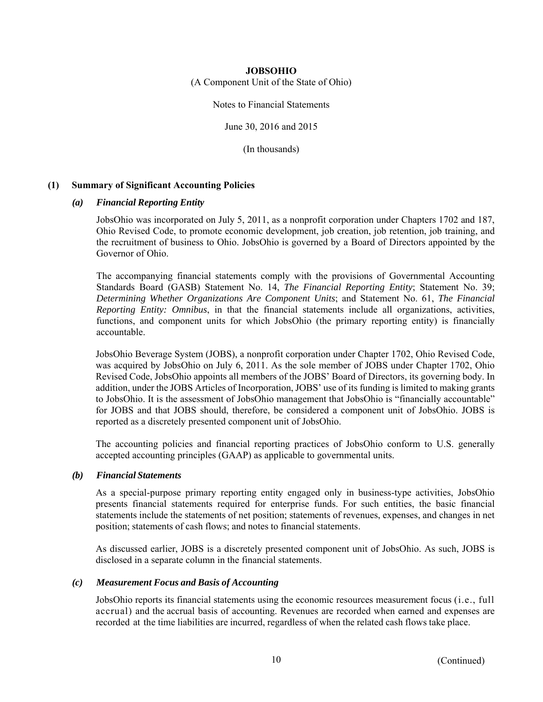(A Component Unit of the State of Ohio)

Notes to Financial Statements

June 30, 2016 and 2015

(In thousands)

## **(1) Summary of Significant Accounting Policies**

## *(a) Financial Reporting Entity*

JobsOhio was incorporated on July 5, 2011, as a nonprofit corporation under Chapters 1702 and 187, Ohio Revised Code, to promote economic development, job creation, job retention, job training, and the recruitment of business to Ohio. JobsOhio is governed by a Board of Directors appointed by the Governor of Ohio.

The accompanying financial statements comply with the provisions of Governmental Accounting Standards Board (GASB) Statement No. 14, *The Financial Reporting Entity*; Statement No. 39; *Determining Whether Organizations Are Component Units*; and Statement No. 61, *The Financial Reporting Entity: Omnibus*, in that the financial statements include all organizations, activities, functions, and component units for which JobsOhio (the primary reporting entity) is financially accountable.

JobsOhio Beverage System (JOBS), a nonprofit corporation under Chapter 1702, Ohio Revised Code, was acquired by JobsOhio on July 6, 2011. As the sole member of JOBS under Chapter 1702, Ohio Revised Code, JobsOhio appoints all members of the JOBS' Board of Directors, its governing body. In addition, under the JOBS Articles of Incorporation, JOBS' use of its funding is limited to making grants to JobsOhio. It is the assessment of JobsOhio management that JobsOhio is "financially accountable" for JOBS and that JOBS should, therefore, be considered a component unit of JobsOhio. JOBS is reported as a discretely presented component unit of JobsOhio.

The accounting policies and financial reporting practices of JobsOhio conform to U.S. generally accepted accounting principles (GAAP) as applicable to governmental units.

#### *(b) Financial Statements*

As a special-purpose primary reporting entity engaged only in business-type activities, JobsOhio presents financial statements required for enterprise funds. For such entities, the basic financial statements include the statements of net position; statements of revenues, expenses, and changes in net position; statements of cash flows; and notes to financial statements.

As discussed earlier, JOBS is a discretely presented component unit of JobsOhio. As such, JOBS is disclosed in a separate column in the financial statements.

#### *(c) Measurement Focus and Basis of Accounting*

JobsOhio reports its financial statements using the economic resources measurement focus (i.e., full accrual) and the accrual basis of accounting. Revenues are recorded when earned and expenses are recorded at the time liabilities are incurred, regardless of when the related cash flows take place.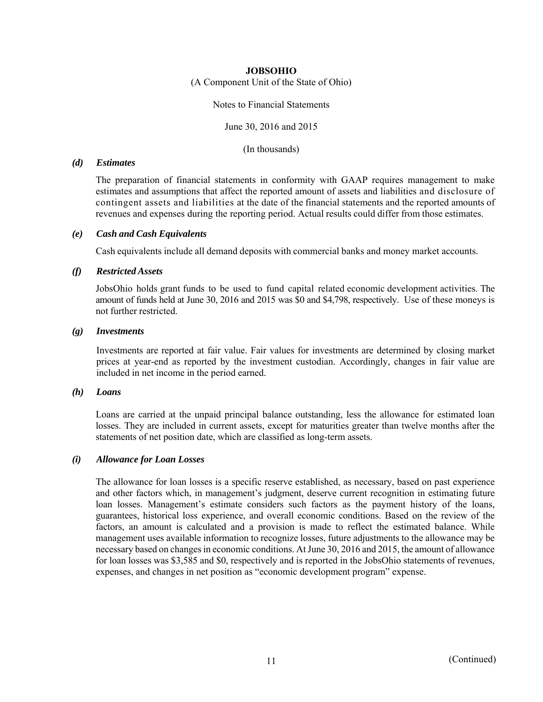(A Component Unit of the State of Ohio)

#### Notes to Financial Statements

June 30, 2016 and 2015

(In thousands)

#### *(d) Estimates*

The preparation of financial statements in conformity with GAAP requires management to make estimates and assumptions that affect the reported amount of assets and liabilities and disclosure of contingent assets and liabilities at the date of the financial statements and the reported amounts of revenues and expenses during the reporting period. Actual results could differ from those estimates.

### *(e) Cash and Cash Equivalents*

Cash equivalents include all demand deposits with commercial banks and money market accounts.

#### *(f) Restricted Assets*

JobsOhio holds grant funds to be used to fund capital related economic development activities. The amount of funds held at June 30, 2016 and 2015 was \$0 and \$4,798, respectively. Use of these moneys is not further restricted.

#### *(g) Investments*

Investments are reported at fair value. Fair values for investments are determined by closing market prices at year-end as reported by the investment custodian. Accordingly, changes in fair value are included in net income in the period earned.

#### *(h) Loans*

Loans are carried at the unpaid principal balance outstanding, less the allowance for estimated loan losses. They are included in current assets, except for maturities greater than twelve months after the statements of net position date, which are classified as long-term assets.

#### *(i) Allowance for Loan Losses*

The allowance for loan losses is a specific reserve established, as necessary, based on past experience and other factors which, in management's judgment, deserve current recognition in estimating future loan losses. Management's estimate considers such factors as the payment history of the loans, guarantees, historical loss experience, and overall economic conditions. Based on the review of the factors, an amount is calculated and a provision is made to reflect the estimated balance. While management uses available information to recognize losses, future adjustments to the allowance may be necessary based on changes in economic conditions. At June 30, 2016 and 2015, the amount of allowance for loan losses was \$3,585 and \$0, respectively and is reported in the JobsOhio statements of revenues, expenses, and changes in net position as "economic development program" expense.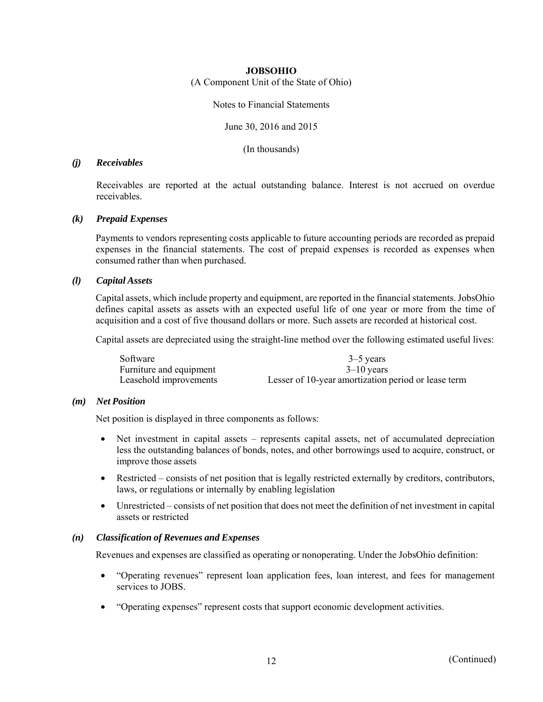(A Component Unit of the State of Ohio)

#### Notes to Financial Statements

June 30, 2016 and 2015

(In thousands)

#### *(j) Receivables*

Receivables are reported at the actual outstanding balance. Interest is not accrued on overdue receivables.

#### *(k) Prepaid Expenses*

Payments to vendors representing costs applicable to future accounting periods are recorded as prepaid expenses in the financial statements. The cost of prepaid expenses is recorded as expenses when consumed rather than when purchased.

#### *(l) Capital Assets*

Capital assets, which include property and equipment, are reported in the financial statements. JobsOhio defines capital assets as assets with an expected useful life of one year or more from the time of acquisition and a cost of five thousand dollars or more. Such assets are recorded at historical cost.

Capital assets are depreciated using the straight-line method over the following estimated useful lives:

| Software                | $3-5$ years                                         |
|-------------------------|-----------------------------------------------------|
| Furniture and equipment | $3-10$ vears                                        |
| Leasehold improvements  | Lesser of 10-year amortization period or lease term |

#### *(m) Net Position*

Net position is displayed in three components as follows:

- Net investment in capital assets represents capital assets, net of accumulated depreciation less the outstanding balances of bonds, notes, and other borrowings used to acquire, construct, or improve those assets
- Restricted consists of net position that is legally restricted externally by creditors, contributors, laws, or regulations or internally by enabling legislation
- Unrestricted consists of net position that does not meet the definition of net investment in capital assets or restricted

#### *(n) Classification of Revenues and Expenses*

Revenues and expenses are classified as operating or nonoperating. Under the JobsOhio definition:

- "Operating revenues" represent loan application fees, loan interest, and fees for management services to JOBS.
- "Operating expenses" represent costs that support economic development activities.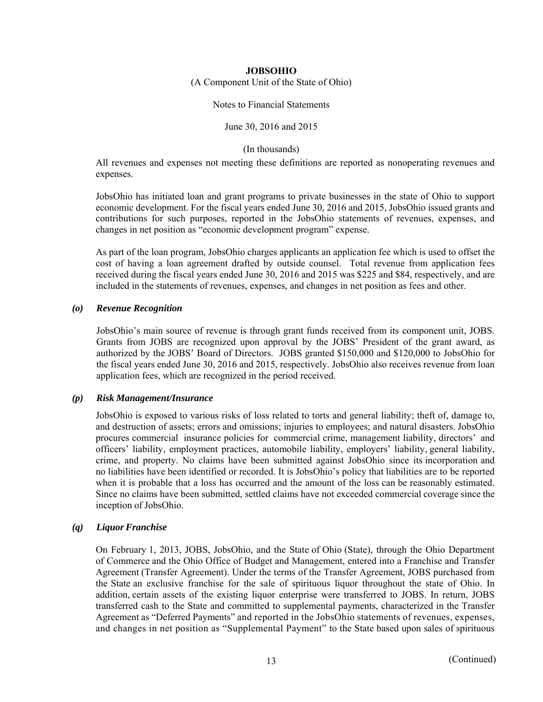(A Component Unit of the State of Ohio)

#### Notes to Financial Statements

June 30, 2016 and 2015

(In thousands)

All revenues and expenses not meeting these definitions are reported as nonoperating revenues and expenses.

JobsOhio has initiated loan and grant programs to private businesses in the state of Ohio to support economic development. For the fiscal years ended June 30, 2016 and 2015, JobsOhio issued grants and contributions for such purposes, reported in the JobsOhio statements of revenues, expenses, and changes in net position as "economic development program" expense.

As part of the loan program, JobsOhio charges applicants an application fee which is used to offset the cost of having a loan agreement drafted by outside counsel. Total revenue from application fees received during the fiscal years ended June 30, 2016 and 2015 was \$225 and \$84, respectively, and are included in the statements of revenues, expenses, and changes in net position as fees and other.

## *(o) Revenue Recognition*

JobsOhio's main source of revenue is through grant funds received from its component unit, JOBS. Grants from JOBS are recognized upon approval by the JOBS' President of the grant award, as authorized by the JOBS' Board of Directors. JOBS granted \$150,000 and \$120,000 to JobsOhio for the fiscal years ended June 30, 2016 and 2015, respectively. JobsOhio also receives revenue from loan application fees, which are recognized in the period received.

# *(p) Risk Management/Insurance*

JobsOhio is exposed to various risks of loss related to torts and general liability; theft of, damage to, and destruction of assets; errors and omissions; injuries to employees; and natural disasters. JobsOhio procures commercial insurance policies for commercial crime, management liability, directors' and officers' liability, employment practices, automobile liability, employers' liability, general liability, crime, and property. No claims have been submitted against JobsOhio since its incorporation and no liabilities have been identified or recorded. It is JobsOhio's policy that liabilities are to be reported when it is probable that a loss has occurred and the amount of the loss can be reasonably estimated. Since no claims have been submitted, settled claims have not exceeded commercial coverage since the inception of JobsOhio.

# *(q) Liquor Franchise*

On February 1, 2013, JOBS, JobsOhio, and the State of Ohio (State), through the Ohio Department of Commerce and the Ohio Office of Budget and Management, entered into a Franchise and Transfer Agreement (Transfer Agreement). Under the terms of the Transfer Agreement, JOBS purchased from the State an exclusive franchise for the sale of spirituous liquor throughout the state of Ohio. In addition, certain assets of the existing liquor enterprise were transferred to JOBS. In return, JOBS transferred cash to the State and committed to supplemental payments, characterized in the Transfer Agreement as "Deferred Payments" and reported in the JobsOhio statements of revenues, expenses, and changes in net position as "Supplemental Payment" to the State based upon sales of spirituous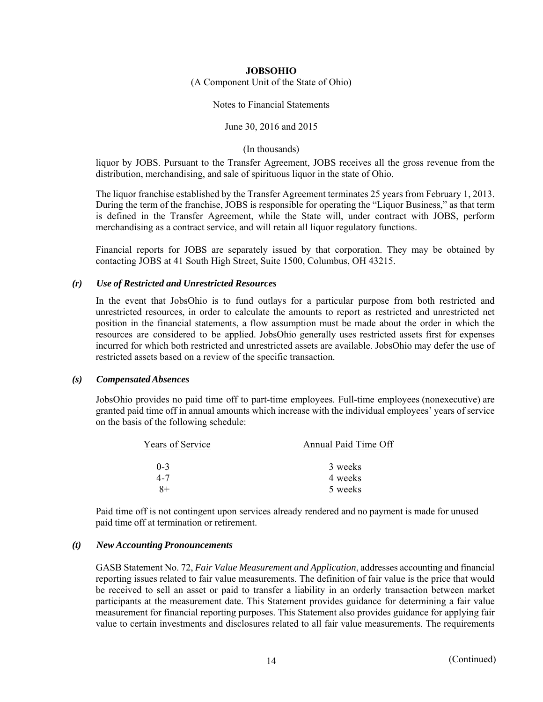(A Component Unit of the State of Ohio)

#### Notes to Financial Statements

June 30, 2016 and 2015

(In thousands)

liquor by JOBS. Pursuant to the Transfer Agreement, JOBS receives all the gross revenue from the distribution, merchandising, and sale of spirituous liquor in the state of Ohio.

The liquor franchise established by the Transfer Agreement terminates 25 years from February 1, 2013. During the term of the franchise, JOBS is responsible for operating the "Liquor Business," as that term is defined in the Transfer Agreement, while the State will, under contract with JOBS, perform merchandising as a contract service, and will retain all liquor regulatory functions.

Financial reports for JOBS are separately issued by that corporation. They may be obtained by contacting JOBS at 41 South High Street, Suite 1500, Columbus, OH 43215.

## *(r) Use of Restricted and Unrestricted Resources*

In the event that JobsOhio is to fund outlays for a particular purpose from both restricted and unrestricted resources, in order to calculate the amounts to report as restricted and unrestricted net position in the financial statements, a flow assumption must be made about the order in which the resources are considered to be applied. JobsOhio generally uses restricted assets first for expenses incurred for which both restricted and unrestricted assets are available. JobsOhio may defer the use of restricted assets based on a review of the specific transaction.

#### *(s) Compensated Absences*

JobsOhio provides no paid time off to part-time employees. Full-time employees (nonexecutive) are granted paid time off in annual amounts which increase with the individual employees' years of service on the basis of the following schedule:

| Years of Service | Annual Paid Time Off |
|------------------|----------------------|
| $0 - 3$          | 3 weeks              |
| $4 - 7$          | 4 weeks              |
| $8+$             | 5 weeks              |

Paid time off is not contingent upon services already rendered and no payment is made for unused paid time off at termination or retirement.

#### *(t) New Accounting Pronouncements*

GASB Statement No. 72, *Fair Value Measurement and Application*, addresses accounting and financial reporting issues related to fair value measurements. The definition of fair value is the price that would be received to sell an asset or paid to transfer a liability in an orderly transaction between market participants at the measurement date. This Statement provides guidance for determining a fair value measurement for financial reporting purposes. This Statement also provides guidance for applying fair value to certain investments and disclosures related to all fair value measurements. The requirements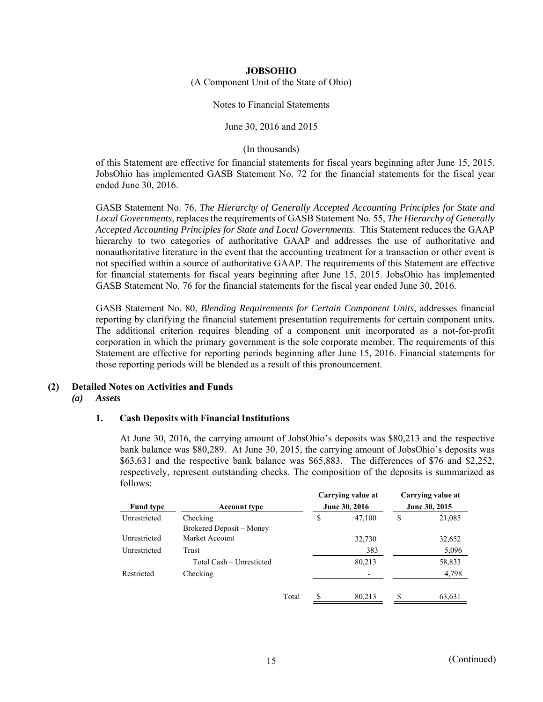(A Component Unit of the State of Ohio)

#### Notes to Financial Statements

#### June 30, 2016 and 2015

### (In thousands)

of this Statement are effective for financial statements for fiscal years beginning after June 15, 2015. JobsOhio has implemented GASB Statement No. 72 for the financial statements for the fiscal year ended June 30, 2016.

GASB Statement No. 76, *The Hierarchy of Generally Accepted Accounting Principles for State and Local Governments*, replaces the requirements of GASB Statement No. 55, *The Hierarchy of Generally Accepted Accounting Principles for State and Local Governments*. This Statement reduces the GAAP hierarchy to two categories of authoritative GAAP and addresses the use of authoritative and nonauthoritative literature in the event that the accounting treatment for a transaction or other event is not specified within a source of authoritative GAAP. The requirements of this Statement are effective for financial statements for fiscal years beginning after June 15, 2015. JobsOhio has implemented GASB Statement No. 76 for the financial statements for the fiscal year ended June 30, 2016.

GASB Statement No. 80, *Blending Requirements for Certain Component Units*, addresses financial reporting by clarifying the financial statement presentation requirements for certain component units. The additional criterion requires blending of a component unit incorporated as a not-for-profit corporation in which the primary government is the sole corporate member. The requirements of this Statement are effective for reporting periods beginning after June 15, 2016. Financial statements for those reporting periods will be blended as a result of this pronouncement.

#### **(2) Detailed Notes on Activities and Funds**

#### *(a) Assets*

#### **1. Cash Deposits with Financial Institutions**

At June 30, 2016, the carrying amount of JobsOhio's deposits was \$80,213 and the respective bank balance was \$80,289. At June 30, 2015, the carrying amount of JobsOhio's deposits was \$63,631 and the respective bank balance was \$65,883. The differences of \$76 and \$2,252, respectively, represent outstanding checks. The composition of the deposits is summarized as follows:

| <b>Fund type</b> | <b>Account type</b>                  | Carrying value at<br>June 30, 2016 | Carrying value at<br>June 30, 2015 |    |        |
|------------------|--------------------------------------|------------------------------------|------------------------------------|----|--------|
| Unrestricted     | Checking<br>Brokered Deposit – Money |                                    | \$<br>47,100                       | \$ | 21,085 |
| Unrestricted     | Market Account                       |                                    | 32,730                             |    | 32,652 |
| Unrestricted     | Trust                                |                                    | 383                                |    | 5,096  |
|                  | Total Cash - Unresticted             |                                    | 80,213                             |    | 58,833 |
| Restricted       | Checking                             |                                    |                                    |    | 4,798  |
|                  |                                      | Total                              | \$<br>80,213                       | S  | 63,631 |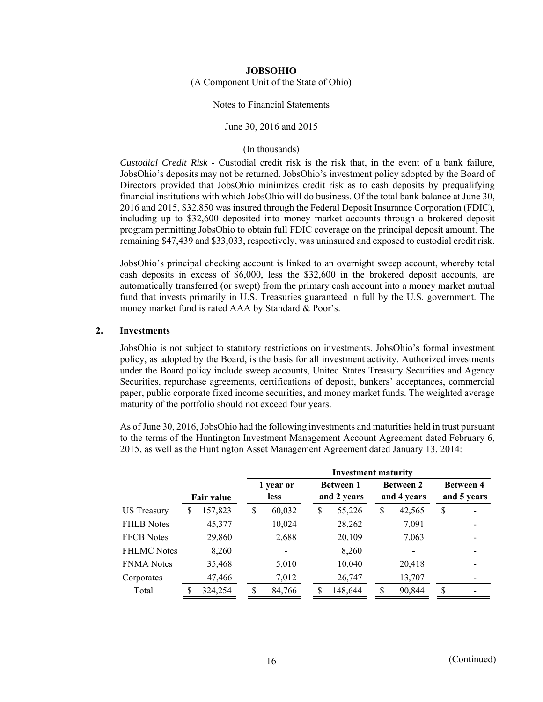(A Component Unit of the State of Ohio)

#### Notes to Financial Statements

#### June 30, 2016 and 2015

### (In thousands)

*Custodial Credit Risk* - Custodial credit risk is the risk that, in the event of a bank failure, JobsOhio's deposits may not be returned. JobsOhio's investment policy adopted by the Board of Directors provided that JobsOhio minimizes credit risk as to cash deposits by prequalifying financial institutions with which JobsOhio will do business. Of the total bank balance at June 30, 2016 and 2015, \$32,850 was insured through the Federal Deposit Insurance Corporation (FDIC), including up to \$32,600 deposited into money market accounts through a brokered deposit program permitting JobsOhio to obtain full FDIC coverage on the principal deposit amount. The remaining \$47,439 and \$33,033, respectively, was uninsured and exposed to custodial credit risk.

JobsOhio's principal checking account is linked to an overnight sweep account, whereby total cash deposits in excess of \$6,000, less the \$32,600 in the brokered deposit accounts, are automatically transferred (or swept) from the primary cash account into a money market mutual fund that invests primarily in U.S. Treasuries guaranteed in full by the U.S. government. The money market fund is rated AAA by Standard & Poor's.

#### **2. Investments**

JobsOhio is not subject to statutory restrictions on investments. JobsOhio's formal investment policy, as adopted by the Board, is the basis for all investment activity. Authorized investments under the Board policy include sweep accounts, United States Treasury Securities and Agency Securities, repurchase agreements, certifications of deposit, bankers' acceptances, commercial paper, public corporate fixed income securities, and money market funds. The weighted average maturity of the portfolio should not exceed four years.

As of June 30, 2016, JobsOhio had the following investments and maturities held in trust pursuant to the terms of the Huntington Investment Management Account Agreement dated February 6, 2015, as well as the Huntington Asset Management Agreement dated January 13, 2014:

|                    | <b>Fair value</b> |         |    | 1 year or<br><b>less</b> | <b>Between 1</b><br>and 2 years | <b>Between 2</b><br>and 4 years | <b>Between 4</b><br>and 5 years |
|--------------------|-------------------|---------|----|--------------------------|---------------------------------|---------------------------------|---------------------------------|
| US Treasury        | S                 | 157,823 | \$ | 60,032                   | \$<br>55,226                    | \$<br>42,565                    | \$                              |
| <b>FHLB</b> Notes  |                   | 45,377  |    | 10,024                   | 28,262                          | 7,091                           |                                 |
| <b>FFCB</b> Notes  |                   | 29,860  |    | 2,688                    | 20,109                          | 7,063                           |                                 |
| <b>FHLMC</b> Notes |                   | 8,260   |    |                          | 8,260                           |                                 |                                 |
| <b>FNMA</b> Notes  |                   | 35,468  |    | 5,010                    | 10,040                          | 20,418                          |                                 |
| Corporates         |                   | 47,466  |    | 7,012                    | 26,747                          | 13,707                          |                                 |
| Total              |                   | 324,254 |    | 84,766                   | 148,644                         | 90,844                          |                                 |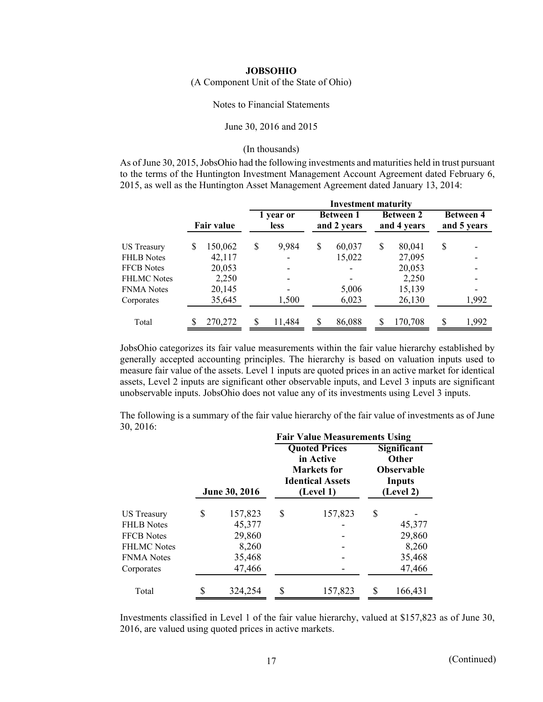#### (A Component Unit of the State of Ohio)

## Notes to Financial Statements

#### June 30, 2016 and 2015

#### (In thousands)

As of June 30, 2015, JobsOhio had the following investments and maturities held in trust pursuant to the terms of the Huntington Investment Management Account Agreement dated February 6, 2015, as well as the Huntington Asset Management Agreement dated January 13, 2014:

|                    | <b>Investment maturity</b> |     |                          |    |                                 |    |                                 |    |                                 |
|--------------------|----------------------------|-----|--------------------------|----|---------------------------------|----|---------------------------------|----|---------------------------------|
|                    | <b>Fair value</b>          |     | 1 year or<br><b>less</b> |    | <b>Between 1</b><br>and 2 years |    | <b>Between 2</b><br>and 4 years |    | <b>Between 4</b><br>and 5 years |
| <b>US Treasury</b> | \$<br>150,062              | \$  | 9,984                    | \$ | 60,037                          | \$ | 80,041                          | \$ |                                 |
| <b>FHLB Notes</b>  | 42,117                     |     |                          |    | 15,022                          |    | 27,095                          |    |                                 |
| <b>FFCB</b> Notes  | 20,053                     |     |                          |    |                                 |    | 20,053                          |    |                                 |
| <b>FHLMC Notes</b> | 2,250                      |     |                          |    |                                 |    | 2,250                           |    |                                 |
| <b>FNMA Notes</b>  | 20,145                     |     |                          |    | 5,006                           |    | 15,139                          |    |                                 |
| Corporates         | 35,645                     |     | 1,500                    |    | 6,023                           |    | 26,130                          |    | 1,992                           |
| Total              | \$<br>270,272              | \$. | 11,484                   | \$ | 86,088                          | \$ | 170,708                         | S  | 1,992                           |

JobsOhio categorizes its fair value measurements within the fair value hierarchy established by generally accepted accounting principles. The hierarchy is based on valuation inputs used to measure fair value of the assets. Level 1 inputs are quoted prices in an active market for identical assets, Level 2 inputs are significant other observable inputs, and Level 3 inputs are significant unobservable inputs. JobsOhio does not value any of its investments using Level 3 inputs.

The following is a summary of the fair value hierarchy of the fair value of investments as of June 30, 2016: **Fair Value Measurements Using**

|                                                                                                                |    |                                                          | <b>Fair Value Measurements Using</b> |                                                                                                 |    |                                                                         |  |  |  |
|----------------------------------------------------------------------------------------------------------------|----|----------------------------------------------------------|--------------------------------------|-------------------------------------------------------------------------------------------------|----|-------------------------------------------------------------------------|--|--|--|
|                                                                                                                |    | June 30, 2016                                            |                                      | <b>Quoted Prices</b><br>in Active<br><b>Markets</b> for<br><b>Identical Assets</b><br>(Level 1) |    | Significant<br><b>Other</b><br><b>Observable</b><br>Inputs<br>(Level 2) |  |  |  |
| <b>US Treasury</b><br><b>FHLB Notes</b><br><b>FFCB</b> Notes<br><b>FHLMC Notes</b><br>FNMA Notes<br>Corporates | \$ | 157,823<br>45,377<br>29,860<br>8,260<br>35,468<br>47,466 | \$                                   | 157,823                                                                                         | \$ | 45,377<br>29,860<br>8,260<br>35,468<br>47,466                           |  |  |  |
| Total                                                                                                          | S  | 324,254                                                  | \$                                   | 157,823                                                                                         | S  | 166,431                                                                 |  |  |  |

Investments classified in Level 1 of the fair value hierarchy, valued at \$157,823 as of June 30, 2016, are valued using quoted prices in active markets.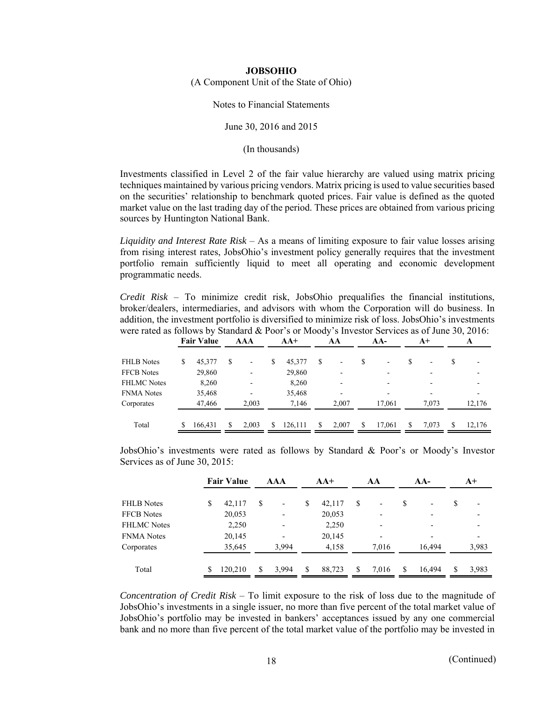(A Component Unit of the State of Ohio)

#### Notes to Financial Statements

June 30, 2016 and 2015

(In thousands)

Investments classified in Level 2 of the fair value hierarchy are valued using matrix pricing techniques maintained by various pricing vendors. Matrix pricing is used to value securities based on the securities' relationship to benchmark quoted prices. Fair value is defined as the quoted market value on the last trading day of the period. These prices are obtained from various pricing sources by Huntington National Bank.

*Liquidity and Interest Rate Risk* – As a means of limiting exposure to fair value losses arising from rising interest rates, JobsOhio's investment policy generally requires that the investment portfolio remain sufficiently liquid to meet all operating and economic development programmatic needs.

*Credit Risk* – To minimize credit risk, JobsOhio prequalifies the financial institutions, broker/dealers, intermediaries, and advisors with whom the Corporation will do business. In addition, the investment portfolio is diversified to minimize risk of loss. JobsOhio's investments were rated as follows by Standard & Poor's or Moody's Investor Services as of June 30, 2016:

|                    | <b>Fair Value</b> |    | AAA   |    | $AA+$   |   | AA    |              | $AA-$                    |    | $A+$  | A      |
|--------------------|-------------------|----|-------|----|---------|---|-------|--------------|--------------------------|----|-------|--------|
| <b>FHLB</b> Notes  | \$<br>45,377      | \$ | -     | \$ | 45,377  | S | ۰     |              | $\overline{\phantom{a}}$ | \$ | -     |        |
| <b>FFCB</b> Notes  | 29,860            |    |       |    | 29,860  |   | -     |              |                          |    |       |        |
| <b>FHLMC</b> Notes | 8,260             |    |       |    | 8,260   |   |       |              |                          |    |       |        |
| <b>FNMA</b> Notes  | 35,468            |    |       |    | 35,468  |   |       |              |                          |    |       |        |
| Corporates         | 47,466            |    | 2,003 |    | 7,146   |   | 2.007 |              | 17,061                   |    | 7,073 | 12,176 |
| Total              | \$<br>166,431     | S  | 2,003 | S  | 126.111 | S | 2.007 | <sup>S</sup> | 17,061                   | S  | 7,073 | 12,176 |

JobsOhio's investments were rated as follows by Standard & Poor's or Moody's Investor Services as of June 30, 2015:

|                    |   | <b>Fair Value</b> |    | AAA                          | $AA+$ |        | AA |       | $AA-$         |                          | $A+$ |       |
|--------------------|---|-------------------|----|------------------------------|-------|--------|----|-------|---------------|--------------------------|------|-------|
| <b>FHLB</b> Notes  | S | 42,117            | S  | $\qquad \qquad \blacksquare$ | \$    | 42,117 | S  |       | \$            | -                        |      |       |
| <b>FFCB</b> Notes  |   | 20,053            |    | $\overline{\phantom{a}}$     |       | 20,053 |    |       |               | $\overline{\phantom{0}}$ |      |       |
| <b>FHLMC</b> Notes |   | 2,250             |    | $\overline{\phantom{a}}$     |       | 2,250  |    |       |               | $\overline{\phantom{a}}$ |      |       |
| <b>FNMA</b> Notes  |   | 20,145            |    | $\overline{\phantom{a}}$     |       | 20,145 |    | ۰     |               | $\overline{\phantom{0}}$ |      |       |
| Corporates         |   | 35,645            |    | 3,994                        |       | 4,158  |    | 7,016 |               | 16.494                   |      | 3,983 |
| Total              |   | 120,210           | S. | 3.994                        | S     | 88,723 | S  | 7,016 | <sup>\$</sup> | 16.494                   | S    | 3,983 |

*Concentration of Credit Risk* – To limit exposure to the risk of loss due to the magnitude of JobsOhio's investments in a single issuer, no more than five percent of the total market value of JobsOhio's portfolio may be invested in bankers' acceptances issued by any one commercial bank and no more than five percent of the total market value of the portfolio may be invested in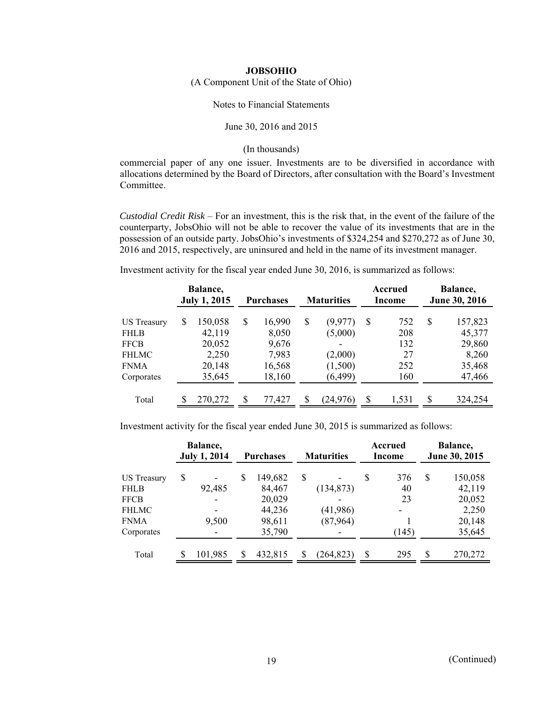(A Component Unit of the State of Ohio)

### Notes to Financial Statements

#### June 30, 2016 and 2015

#### (In thousands)

commercial paper of any one issuer. Investments are to be diversified in accordance with allocations determined by the Board of Directors, after consultation with the Board's Investment Committee.

*Custodial Credit Risk* – For an investment, this is the risk that, in the event of the failure of the counterparty, JobsOhio will not be able to recover the value of its investments that are in the possession of an outside party. JobsOhio's investments of \$324,254 and \$270,272 as of June 30, 2016 and 2015, respectively, are uninsured and held in the name of its investment manager.

Investment activity for the fiscal year ended June 30, 2016, is summarized as follows:

|              | Balance,<br><b>July 1, 2015</b> |         | <b>Purchases</b> |        | <b>Maturities</b> |                          | Accrued<br>Income |       | Balance,<br>June 30, 2016 |         |
|--------------|---------------------------------|---------|------------------|--------|-------------------|--------------------------|-------------------|-------|---------------------------|---------|
| US Treasury  | S                               | 150,058 | \$               | 16,990 | S                 | (9,977)                  | \$                | 752   | \$                        | 157,823 |
| <b>FHLB</b>  |                                 | 42,119  |                  | 8,050  |                   | (5,000)                  |                   | 208   |                           | 45,377  |
| <b>FFCB</b>  |                                 | 20,052  |                  | 9,676  |                   | $\overline{\phantom{0}}$ |                   | 132   |                           | 29,860  |
| <b>FHLMC</b> |                                 | 2,250   |                  | 7,983  |                   | (2,000)                  |                   | 27    |                           | 8,260   |
| <b>FNMA</b>  |                                 | 20,148  |                  | 16,568 |                   | (1,500)                  |                   | 252   |                           | 35,468  |
| Corporates   |                                 | 35,645  |                  | 18,160 |                   | (6, 499)                 |                   | 160   |                           | 47,466  |
| Total        |                                 | 270,272 | S                | 77,427 | S                 | (24, 976)                | \$                | 1,531 | S                         | 324,254 |

Investment activity for the fiscal year ended June 30, 2015 is summarized as follows:

|                                   |    | Balance,<br><b>July 1, 2014</b> | <b>Purchases</b> |                   | <b>Maturities</b> |               | Accrued<br>Income |                                | Balance,<br>June 30, 2015 |                   |
|-----------------------------------|----|---------------------------------|------------------|-------------------|-------------------|---------------|-------------------|--------------------------------|---------------------------|-------------------|
| <b>US Treasury</b><br><b>FHLB</b> | \$ | 92,485                          | \$               | 149,682<br>84,467 | S                 | (134, 873)    | \$                | 376<br>40                      | \$                        | 150,058<br>42,119 |
| <b>FFCB</b><br><b>FHLMC</b>       |    |                                 |                  | 20,029<br>44,236  |                   | (41,986)      |                   | 23<br>$\overline{\phantom{a}}$ |                           | 20,052<br>2,250   |
| <b>FNMA</b><br>Corporates         |    | 9,500                           |                  | 98,611<br>35,790  |                   | (87,964)<br>- |                   | (145)                          |                           | 20,148<br>35,645  |
| Total                             | S  | 101,985                         | \$               | 432,815           | <sup>\$</sup>     | (264, 823)    | \$                | 295                            | \$                        | 270,272           |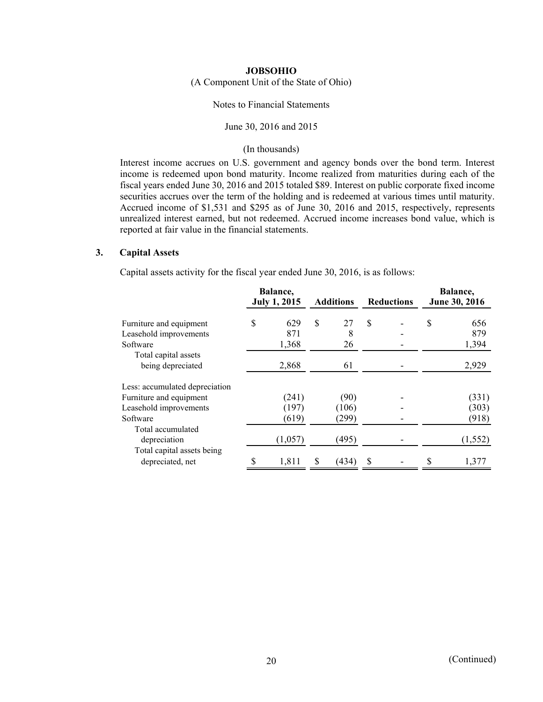(A Component Unit of the State of Ohio)

## Notes to Financial Statements

#### June 30, 2016 and 2015

#### (In thousands)

Interest income accrues on U.S. government and agency bonds over the bond term. Interest income is redeemed upon bond maturity. Income realized from maturities during each of the fiscal years ended June 30, 2016 and 2015 totaled \$89. Interest on public corporate fixed income securities accrues over the term of the holding and is redeemed at various times until maturity. Accrued income of \$1,531 and \$295 as of June 30, 2016 and 2015, respectively, represents unrealized interest earned, but not redeemed. Accrued income increases bond value, which is reported at fair value in the financial statements.

#### **3. Capital Assets**

Capital assets activity for the fiscal year ended June 30, 2016, is as follows:

|                                | Balance,<br><b>July 1, 2015</b> |         | <b>Additions</b> |       | <b>Reductions</b> |  | Balance,<br>June 30, 2016 |          |
|--------------------------------|---------------------------------|---------|------------------|-------|-------------------|--|---------------------------|----------|
| Furniture and equipment        | \$                              | 629     | \$               | 27    | \$                |  | S                         | 656      |
| Leasehold improvements         |                                 | 871     |                  | 8     |                   |  |                           | 879      |
| Software                       |                                 | 1,368   |                  | 26    |                   |  |                           | 1,394    |
| Total capital assets           |                                 |         |                  |       |                   |  |                           |          |
| being depreciated              |                                 | 2,868   |                  | 61    |                   |  |                           | 2,929    |
| Less: accumulated depreciation |                                 |         |                  |       |                   |  |                           |          |
| Furniture and equipment        |                                 | (241)   |                  | (90)  |                   |  |                           | (331)    |
| Leasehold improvements         |                                 | (197)   |                  | (106) |                   |  |                           | (303)    |
| Software                       |                                 | (619)   |                  | (299) |                   |  |                           | (918)    |
| Total accumulated              |                                 |         |                  |       |                   |  |                           |          |
| depreciation                   |                                 | (1,057) |                  | (495) |                   |  |                           | (1, 552) |
| Total capital assets being     |                                 |         |                  |       |                   |  |                           |          |
| depreciated, net               |                                 | 1,811   | S                | (434) | \$                |  | S                         | 1,377    |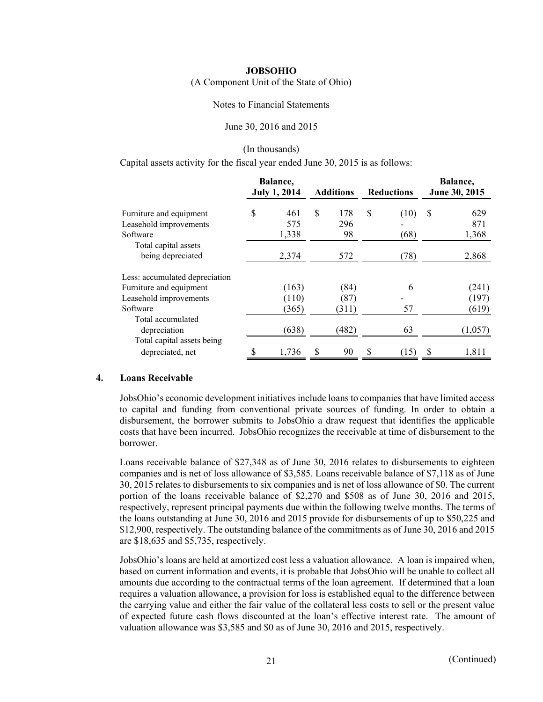(A Component Unit of the State of Ohio)

#### Notes to Financial Statements

#### June 30, 2016 and 2015

#### (In thousands)

#### Capital assets activity for the fiscal year ended June 30, 2015 is as follows:

|                                | Balance,<br><b>July 1, 2014</b> |    | <b>Additions</b> | <b>Reductions</b> | Balance,<br>June 30, 2015 |         |  |
|--------------------------------|---------------------------------|----|------------------|-------------------|---------------------------|---------|--|
| Furniture and equipment        | \$<br>461                       | \$ | 178              | \$<br>(10)        | \$                        | 629     |  |
| Leasehold improvements         | 575                             |    | 296              |                   |                           | 871     |  |
| Software                       | 1,338                           |    | 98               | (68)              |                           | 1,368   |  |
| Total capital assets           |                                 |    |                  |                   |                           |         |  |
| being depreciated              | 2,374                           |    | 572              | (78)              |                           | 2,868   |  |
| Less: accumulated depreciation |                                 |    |                  |                   |                           |         |  |
| Furniture and equipment        | (163)                           |    | (84)             | 6                 |                           | (241)   |  |
| Leasehold improvements         | (110)                           |    | (87)             |                   |                           | (197)   |  |
| Software                       | (365)                           |    | (311)            | 57                |                           | (619)   |  |
| Total accumulated              |                                 |    |                  |                   |                           |         |  |
| depreciation                   | (638)                           |    | (482)            | 63                |                           | (1,057) |  |
| Total capital assets being     |                                 |    |                  |                   |                           |         |  |
| depreciated, net               | \$<br>1,736                     | S  | 90               | \$<br>(15)        | S                         | 1,811   |  |

#### **4. Loans Receivable**

JobsOhio's economic development initiatives include loans to companies that have limited access to capital and funding from conventional private sources of funding. In order to obtain a disbursement, the borrower submits to JobsOhio a draw request that identifies the applicable costs that have been incurred. JobsOhio recognizes the receivable at time of disbursement to the borrower.

Loans receivable balance of \$27,348 as of June 30, 2016 relates to disbursements to eighteen companies and is net of loss allowance of \$3,585. Loans receivable balance of \$7,118 as of June 30, 2015 relates to disbursements to six companies and is net of loss allowance of \$0. The current portion of the loans receivable balance of \$2,270 and \$508 as of June 30, 2016 and 2015, respectively, represent principal payments due within the following twelve months. The terms of the loans outstanding at June 30, 2016 and 2015 provide for disbursements of up to \$50,225 and \$12,900, respectively. The outstanding balance of the commitments as of June 30, 2016 and 2015 are \$18,635 and \$5,735, respectively.

JobsOhio's loans are held at amortized cost less a valuation allowance. A loan is impaired when, based on current information and events, it is probable that JobsOhio will be unable to collect all amounts due according to the contractual terms of the loan agreement. If determined that a loan requires a valuation allowance, a provision for loss is established equal to the difference between the carrying value and either the fair value of the collateral less costs to sell or the present value of expected future cash flows discounted at the loan's effective interest rate. The amount of valuation allowance was \$3,585 and \$0 as of June 30, 2016 and 2015, respectively.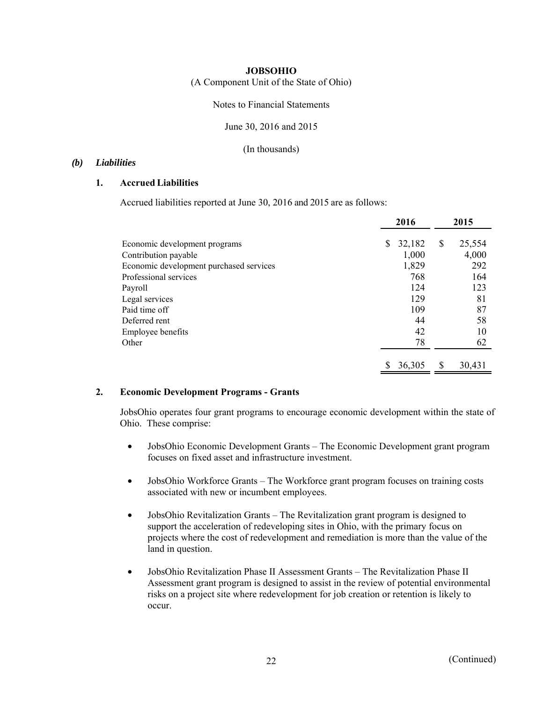(A Component Unit of the State of Ohio)

Notes to Financial Statements

June 30, 2016 and 2015

(In thousands)

### *(b) Liabilities*

# **1. Accrued Liabilities**

Accrued liabilities reported at June 30, 2016 and 2015 are as follows:

|                                         | 2016         |    | 2015   |
|-----------------------------------------|--------------|----|--------|
| Economic development programs           | \$<br>32,182 | \$ | 25,554 |
| Contribution payable                    | 1,000        |    | 4,000  |
| Economic development purchased services | 1,829        |    | 292    |
| Professional services                   | 768          |    | 164    |
| Payroll                                 | 124          |    | 123    |
| Legal services                          | 129          |    | 81     |
| Paid time off                           | 109          |    | 87     |
| Deferred rent                           | 44           |    | 58     |
| Employee benefits                       | 42           |    | 10     |
| Other                                   | 78           |    | 62     |
|                                         | 36,305       | S  | 30,431 |

# **2. Economic Development Programs - Grants**

JobsOhio operates four grant programs to encourage economic development within the state of Ohio. These comprise:

- JobsOhio Economic Development Grants The Economic Development grant program focuses on fixed asset and infrastructure investment.
- JobsOhio Workforce Grants The Workforce grant program focuses on training costs associated with new or incumbent employees.
- JobsOhio Revitalization Grants The Revitalization grant program is designed to support the acceleration of redeveloping sites in Ohio, with the primary focus on projects where the cost of redevelopment and remediation is more than the value of the land in question.
- JobsOhio Revitalization Phase II Assessment Grants The Revitalization Phase II Assessment grant program is designed to assist in the review of potential environmental risks on a project site where redevelopment for job creation or retention is likely to occur.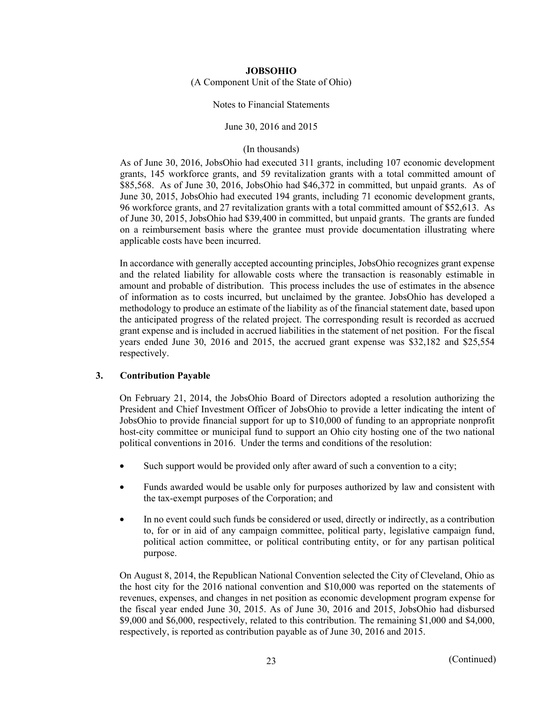(A Component Unit of the State of Ohio)

#### Notes to Financial Statements

### June 30, 2016 and 2015

## (In thousands)

As of June 30, 2016, JobsOhio had executed 311 grants, including 107 economic development grants, 145 workforce grants, and 59 revitalization grants with a total committed amount of \$85,568. As of June 30, 2016, JobsOhio had \$46,372 in committed, but unpaid grants. As of June 30, 2015, JobsOhio had executed 194 grants, including 71 economic development grants, 96 workforce grants, and 27 revitalization grants with a total committed amount of \$52,613. As of June 30, 2015, JobsOhio had \$39,400 in committed, but unpaid grants. The grants are funded on a reimbursement basis where the grantee must provide documentation illustrating where applicable costs have been incurred.

In accordance with generally accepted accounting principles, JobsOhio recognizes grant expense and the related liability for allowable costs where the transaction is reasonably estimable in amount and probable of distribution. This process includes the use of estimates in the absence of information as to costs incurred, but unclaimed by the grantee. JobsOhio has developed a methodology to produce an estimate of the liability as of the financial statement date, based upon the anticipated progress of the related project. The corresponding result is recorded as accrued grant expense and is included in accrued liabilities in the statement of net position. For the fiscal years ended June 30, 2016 and 2015, the accrued grant expense was \$32,182 and \$25,554 respectively.

# **3. Contribution Payable**

On February 21, 2014, the JobsOhio Board of Directors adopted a resolution authorizing the President and Chief Investment Officer of JobsOhio to provide a letter indicating the intent of JobsOhio to provide financial support for up to \$10,000 of funding to an appropriate nonprofit host-city committee or municipal fund to support an Ohio city hosting one of the two national political conventions in 2016. Under the terms and conditions of the resolution:

- Such support would be provided only after award of such a convention to a city;
- Funds awarded would be usable only for purposes authorized by law and consistent with the tax-exempt purposes of the Corporation; and
- In no event could such funds be considered or used, directly or indirectly, as a contribution to, for or in aid of any campaign committee, political party, legislative campaign fund, political action committee, or political contributing entity, or for any partisan political purpose.

On August 8, 2014, the Republican National Convention selected the City of Cleveland, Ohio as the host city for the 2016 national convention and \$10,000 was reported on the statements of revenues, expenses, and changes in net position as economic development program expense for the fiscal year ended June 30, 2015. As of June 30, 2016 and 2015, JobsOhio had disbursed \$9,000 and \$6,000, respectively, related to this contribution. The remaining \$1,000 and \$4,000, respectively, is reported as contribution payable as of June 30, 2016 and 2015.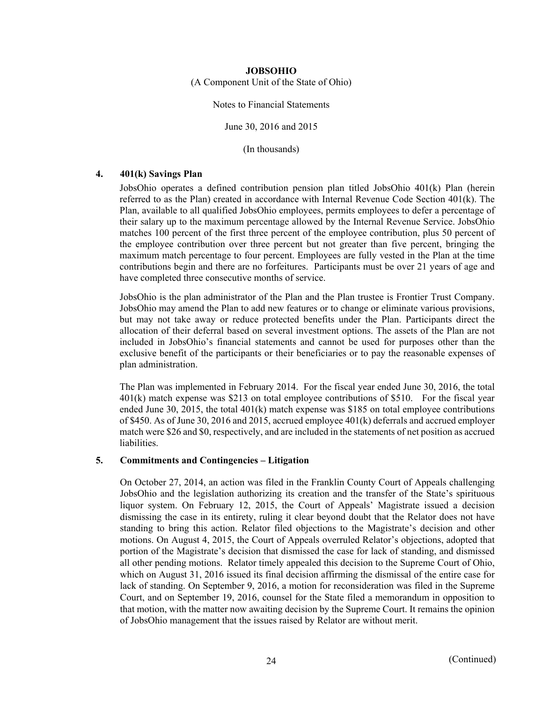(A Component Unit of the State of Ohio)

#### Notes to Financial Statements

June 30, 2016 and 2015

(In thousands)

## **4. 401(k) Savings Plan**

JobsOhio operates a defined contribution pension plan titled JobsOhio 401(k) Plan (herein referred to as the Plan) created in accordance with Internal Revenue Code Section 401(k). The Plan, available to all qualified JobsOhio employees, permits employees to defer a percentage of their salary up to the maximum percentage allowed by the Internal Revenue Service. JobsOhio matches 100 percent of the first three percent of the employee contribution, plus 50 percent of the employee contribution over three percent but not greater than five percent, bringing the maximum match percentage to four percent. Employees are fully vested in the Plan at the time contributions begin and there are no forfeitures. Participants must be over 21 years of age and have completed three consecutive months of service.

JobsOhio is the plan administrator of the Plan and the Plan trustee is Frontier Trust Company. JobsOhio may amend the Plan to add new features or to change or eliminate various provisions, but may not take away or reduce protected benefits under the Plan. Participants direct the allocation of their deferral based on several investment options. The assets of the Plan are not included in JobsOhio's financial statements and cannot be used for purposes other than the exclusive benefit of the participants or their beneficiaries or to pay the reasonable expenses of plan administration.

The Plan was implemented in February 2014. For the fiscal year ended June 30, 2016, the total 401(k) match expense was \$213 on total employee contributions of \$510. For the fiscal year ended June 30, 2015, the total 401(k) match expense was \$185 on total employee contributions of \$450. As of June 30, 2016 and 2015, accrued employee 401(k) deferrals and accrued employer match were \$26 and \$0, respectively, and are included in the statements of net position as accrued liabilities.

#### **5. Commitments and Contingencies – Litigation**

On October 27, 2014, an action was filed in the Franklin County Court of Appeals challenging JobsOhio and the legislation authorizing its creation and the transfer of the State's spirituous liquor system. On February 12, 2015, the Court of Appeals' Magistrate issued a decision dismissing the case in its entirety, ruling it clear beyond doubt that the Relator does not have standing to bring this action. Relator filed objections to the Magistrate's decision and other motions. On August 4, 2015, the Court of Appeals overruled Relator's objections, adopted that portion of the Magistrate's decision that dismissed the case for lack of standing, and dismissed all other pending motions. Relator timely appealed this decision to the Supreme Court of Ohio, which on August 31, 2016 issued its final decision affirming the dismissal of the entire case for lack of standing. On September 9, 2016, a motion for reconsideration was filed in the Supreme Court, and on September 19, 2016, counsel for the State filed a memorandum in opposition to that motion, with the matter now awaiting decision by the Supreme Court. It remains the opinion of JobsOhio management that the issues raised by Relator are without merit.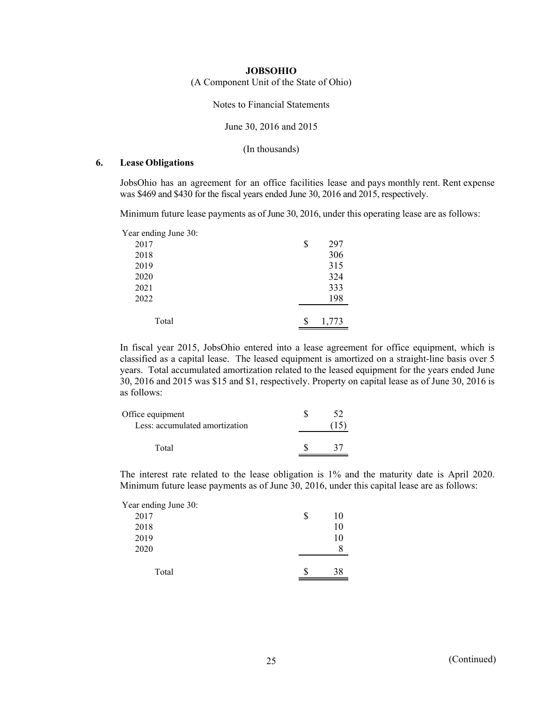(A Component Unit of the State of Ohio)

### Notes to Financial Statements

June 30, 2016 and 2015

(In thousands)

## **6. Lease Obligations**

JobsOhio has an agreement for an office facilities lease and pays monthly rent. Rent expense was \$469 and \$430 for the fiscal years ended June 30, 2016 and 2015, respectively.

Minimum future lease payments as of June 30, 2016, under this operating lease are as follows:

| Year ending June 30: |             |
|----------------------|-------------|
| 2017                 | \$<br>297   |
| 2018                 | 306         |
| 2019                 | 315         |
| 2020                 | 324         |
| 2021                 | 333         |
| 2022                 | 198         |
| Total                | \$<br>1,773 |

In fiscal year 2015, JobsOhio entered into a lease agreement for office equipment, which is classified as a capital lease. The leased equipment is amortized on a straight-line basis over 5 years. Total accumulated amortization related to the leased equipment for the years ended June 30, 2016 and 2015 was \$15 and \$1, respectively. Property on capital lease as of June 30, 2016 is as follows:

| Office equipment               |  |
|--------------------------------|--|
| Less: accumulated amortization |  |
|                                |  |
| Total                          |  |

The interest rate related to the lease obligation is 1% and the maturity date is April 2020. Minimum future lease payments as of June 30, 2016, under this capital lease are as follows:

| Year ending June 30: |          |
|----------------------|----------|
| 2017                 | \$<br>10 |
| 2018                 | 10       |
| 2019                 | 10       |
| 2020                 |          |
|                      |          |
| Total                | 38       |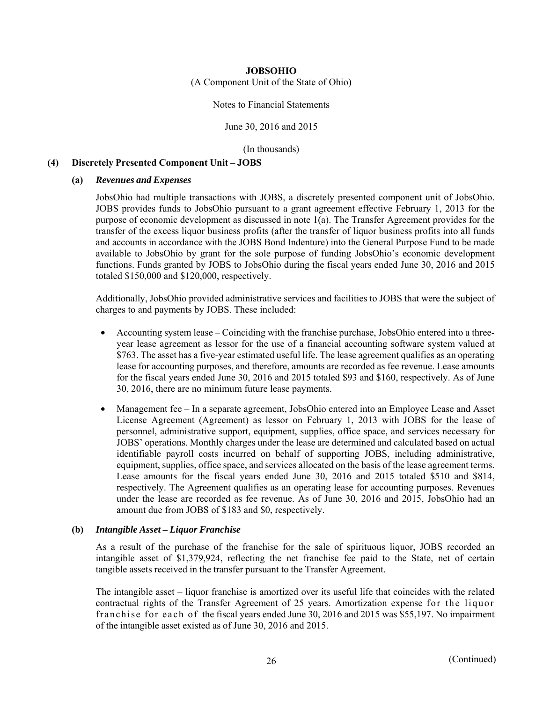(A Component Unit of the State of Ohio)

#### Notes to Financial Statements

June 30, 2016 and 2015

(In thousands)

#### **(4) Discretely Presented Component Unit – JOBS**

### **(a)** *Revenues and Expenses*

JobsOhio had multiple transactions with JOBS, a discretely presented component unit of JobsOhio. JOBS provides funds to JobsOhio pursuant to a grant agreement effective February 1, 2013 for the purpose of economic development as discussed in note 1(a). The Transfer Agreement provides for the transfer of the excess liquor business profits (after the transfer of liquor business profits into all funds and accounts in accordance with the JOBS Bond Indenture) into the General Purpose Fund to be made available to JobsOhio by grant for the sole purpose of funding JobsOhio's economic development functions. Funds granted by JOBS to JobsOhio during the fiscal years ended June 30, 2016 and 2015 totaled \$150,000 and \$120,000, respectively.

Additionally, JobsOhio provided administrative services and facilities to JOBS that were the subject of charges to and payments by JOBS. These included:

- Accounting system lease Coinciding with the franchise purchase, JobsOhio entered into a threeyear lease agreement as lessor for the use of a financial accounting software system valued at \$763. The asset has a five-year estimated useful life. The lease agreement qualifies as an operating lease for accounting purposes, and therefore, amounts are recorded as fee revenue. Lease amounts for the fiscal years ended June 30, 2016 and 2015 totaled \$93 and \$160, respectively. As of June 30, 2016, there are no minimum future lease payments.
- Management fee In a separate agreement, JobsOhio entered into an Employee Lease and Asset License Agreement (Agreement) as lessor on February 1, 2013 with JOBS for the lease of personnel, administrative support, equipment, supplies, office space, and services necessary for JOBS' operations. Monthly charges under the lease are determined and calculated based on actual identifiable payroll costs incurred on behalf of supporting JOBS, including administrative, equipment, supplies, office space, and services allocated on the basis of the lease agreement terms. Lease amounts for the fiscal years ended June 30, 2016 and 2015 totaled \$510 and \$814, respectively. The Agreement qualifies as an operating lease for accounting purposes. Revenues under the lease are recorded as fee revenue. As of June 30, 2016 and 2015, JobsOhio had an amount due from JOBS of \$183 and \$0, respectively.

#### **(b)** *Intangible Asset – Liquor Franchise*

As a result of the purchase of the franchise for the sale of spirituous liquor, JOBS recorded an intangible asset of \$1,379,924, reflecting the net franchise fee paid to the State, net of certain tangible assets received in the transfer pursuant to the Transfer Agreement.

The intangible asset – liquor franchise is amortized over its useful life that coincides with the related contractual rights of the Transfer Agreement of 25 years. Amortization expense for the liquor franchise for each of the fiscal years ended June 30, 2016 and 2015 was \$55,197. No impairment of the intangible asset existed as of June 30, 2016 and 2015.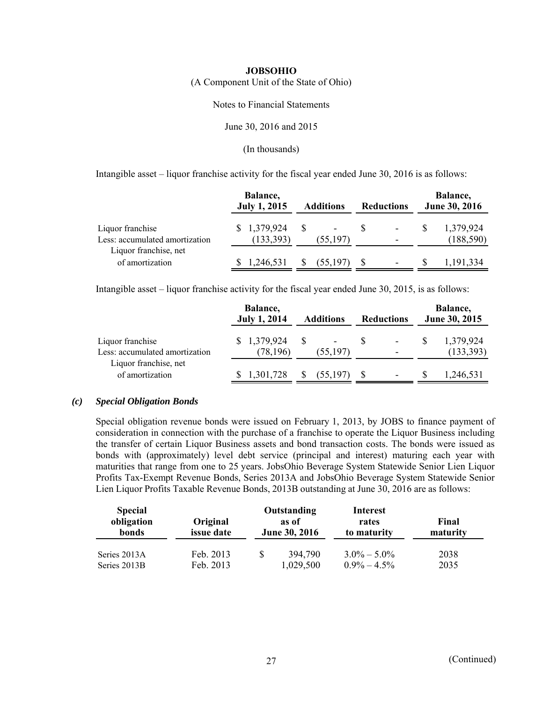(A Component Unit of the State of Ohio)

#### Notes to Financial Statements

June 30, 2016 and 2015

#### (In thousands)

Intangible asset – liquor franchise activity for the fiscal year ended June 30, 2016 is as follows:

|                                                    | Balance,<br><b>July 1, 2015</b> | <b>Additions</b> | <b>Reductions</b>        | Balance,<br>June 30, 2016 |  |
|----------------------------------------------------|---------------------------------|------------------|--------------------------|---------------------------|--|
| Liquor franchise<br>Less: accumulated amortization | \$1,379,924<br>(133, 393)       | (55, 197)        | $\overline{\phantom{a}}$ | 1,379,924<br>(188, 590)   |  |
| Liquor franchise, net<br>of amortization           | \$1,246,531                     | (55,197)         | $\overline{\phantom{a}}$ | 1,191,334                 |  |

Intangible asset – liquor franchise activity for the fiscal year ended June 30, 2015, is as follows:

|                                                    | Balance,<br><b>July 1, 2014</b> |                          | <b>Additions</b> |                                       | <b>Reductions</b> |   | Balance,<br>June 30, 2015 |                         |  |
|----------------------------------------------------|---------------------------------|--------------------------|------------------|---------------------------------------|-------------------|---|---------------------------|-------------------------|--|
| Liquor franchise<br>Less: accumulated amortization |                                 | \$1,379,924<br>(78, 196) |                  | $\overline{\phantom{a}}$<br>(55, 197) |                   | - |                           | 1,379,924<br>(133, 393) |  |
| Liquor franchise, net<br>of amortization           |                                 | \$ 1,301,728             | <sup>\$</sup>    | (55,197)                              |                   |   |                           | 1,246,531               |  |

#### *(c) Special Obligation Bonds*

Special obligation revenue bonds were issued on February 1, 2013, by JOBS to finance payment of consideration in connection with the purchase of a franchise to operate the Liquor Business including the transfer of certain Liquor Business assets and bond transaction costs. The bonds were issued as bonds with (approximately) level debt service (principal and interest) maturing each year with maturities that range from one to 25 years. JobsOhio Beverage System Statewide Senior Lien Liquor Profits Tax-Exempt Revenue Bonds, Series 2013A and JobsOhio Beverage System Statewide Senior Lien Liquor Profits Taxable Revenue Bonds, 2013B outstanding at June 30, 2016 are as follows:

| <b>Special</b><br>obligation<br>bonds | Original<br>issue date |     | Outstanding<br>as of<br>June 30, 2016 | <b>Interest</b><br>rates<br>to maturity | Final<br>maturity |  |
|---------------------------------------|------------------------|-----|---------------------------------------|-----------------------------------------|-------------------|--|
| Series 2013A                          | Feb. 2013              | \$. | 394,790                               | $3.0\% - 5.0\%$                         | 2038              |  |
| Series 2013B                          | Feb. 2013              |     | 1,029,500                             | $0.9\% - 4.5\%$                         | 2035              |  |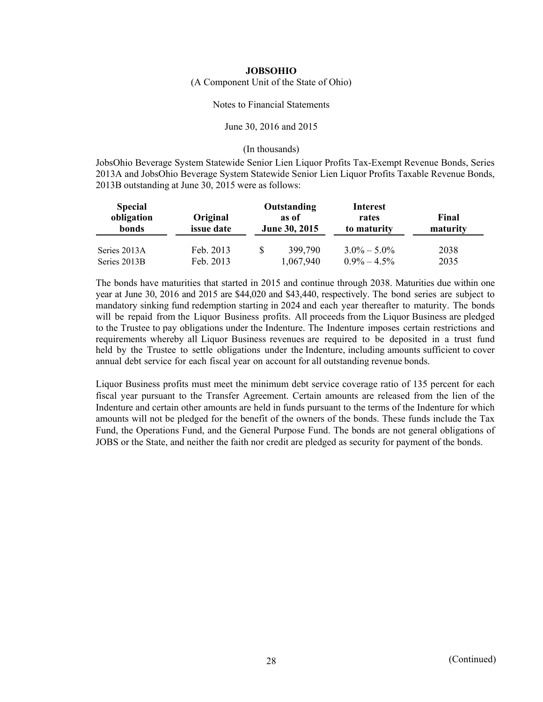#### (A Component Unit of the State of Ohio)

#### Notes to Financial Statements

#### June 30, 2016 and 2015

#### (In thousands)

JobsOhio Beverage System Statewide Senior Lien Liquor Profits Tax-Exempt Revenue Bonds, Series 2013A and JobsOhio Beverage System Statewide Senior Lien Liquor Profits Taxable Revenue Bonds, 2013B outstanding at June 30, 2015 were as follows:

| <b>Special</b><br>obligation<br>bonds | Original<br><i>issue</i> date | Outstanding<br>as of<br>June 30, 2015 | Interest<br>rates<br>to maturity | Final<br>maturity |  |
|---------------------------------------|-------------------------------|---------------------------------------|----------------------------------|-------------------|--|
| Series 2013A                          | Feb. 2013                     | \$<br>399,790                         | $3.0\% - 5.0\%$                  | 2038              |  |
| Series 2013B                          | Feb. 2013                     | 1,067,940                             | $0.9\% - 4.5\%$                  | 2035              |  |

The bonds have maturities that started in 2015 and continue through 2038. Maturities due within one year at June 30, 2016 and 2015 are \$44,020 and \$43,440, respectively. The bond series are subject to mandatory sinking fund redemption starting in 2024 and each year thereafter to maturity. The bonds will be repaid from the Liquor Business profits. All proceeds from the Liquor Business are pledged to the Trustee to pay obligations under the Indenture. The Indenture imposes certain restrictions and requirements whereby all Liquor Business revenues are required to be deposited in a trust fund held by the Trustee to settle obligations under the Indenture, including amounts sufficient to cover annual debt service for each fiscal year on account for all outstanding revenue bonds.

Liquor Business profits must meet the minimum debt service coverage ratio of 135 percent for each fiscal year pursuant to the Transfer Agreement. Certain amounts are released from the lien of the Indenture and certain other amounts are held in funds pursuant to the terms of the Indenture for which amounts will not be pledged for the benefit of the owners of the bonds. These funds include the Tax Fund, the Operations Fund, and the General Purpose Fund. The bonds are not general obligations of JOBS or the State, and neither the faith nor credit are pledged as security for payment of the bonds.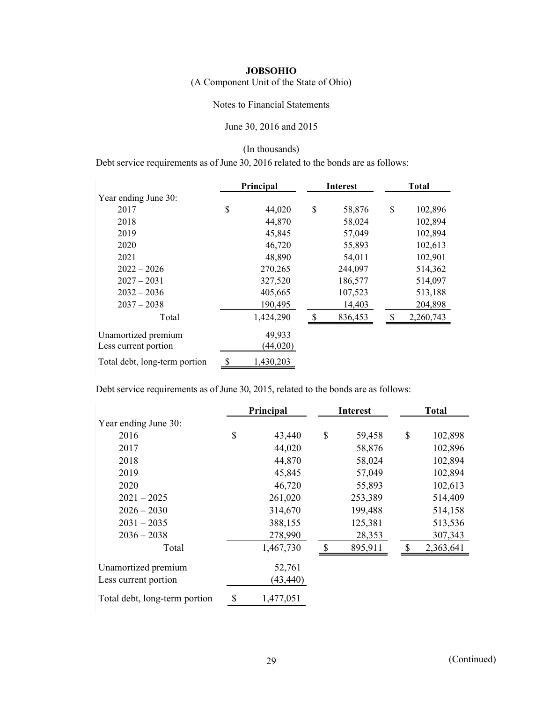(A Component Unit of the State of Ohio)

# Notes to Financial Statements

## June 30, 2016 and 2015

(In thousands)

Debt service requirements as of June 30, 2016 related to the bonds are as follows:

|                                             | <b>Principal</b> |                     |               | <b>Interest</b> | <b>Total</b> |           |  |
|---------------------------------------------|------------------|---------------------|---------------|-----------------|--------------|-----------|--|
| Year ending June 30:                        |                  |                     |               |                 |              |           |  |
| 2017                                        | \$               | 44,020              | \$            | 58,876          | \$           | 102,896   |  |
| 2018                                        |                  | 44,870              |               | 58,024          |              | 102,894   |  |
| 2019                                        |                  | 45,845              |               | 57,049          |              | 102,894   |  |
| 2020                                        |                  | 46,720              |               | 55,893          |              | 102,613   |  |
| 2021                                        |                  | 48,890              |               | 54,011          |              | 102,901   |  |
| $2022 - 2026$                               |                  | 270,265             |               | 244,097         |              | 514,362   |  |
| $2027 - 2031$                               |                  | 327,520             |               | 186,577         |              | 514,097   |  |
| $2032 - 2036$                               |                  | 405,665             |               | 107,523         |              | 513,188   |  |
| $2037 - 2038$                               |                  | 190,495             |               | 14,403          |              | 204,898   |  |
| Total                                       |                  | 1,424,290           | <sup>\$</sup> | 836,453         |              | 2,260,743 |  |
| Unamortized premium<br>Less current portion |                  | 49,933<br>(44, 020) |               |                 |              |           |  |
| Total debt, long-term portion               | \$               | 1,430,203           |               |                 |              |           |  |

Debt service requirements as of June 30, 2015, related to the bonds are as follows:

|                               | Principal       |    | Interest | <b>Total</b>  |  |
|-------------------------------|-----------------|----|----------|---------------|--|
| Year ending June 30:          |                 |    |          |               |  |
| 2016                          | \$<br>43,440    | \$ | 59,458   | \$<br>102,898 |  |
| 2017                          | 44,020          |    | 58,876   | 102,896       |  |
| 2018                          | 44,870          |    | 58,024   | 102,894       |  |
| 2019                          | 45,845          |    | 57,049   | 102,894       |  |
| 2020                          | 46,720          |    | 55,893   | 102,613       |  |
| $2021 - 2025$                 | 261,020         |    | 253,389  | 514,409       |  |
| $2026 - 2030$                 | 314,670         |    | 199,488  | 514,158       |  |
| $2031 - 2035$                 | 388,155         |    | 125,381  | 513,536       |  |
| $2036 - 2038$                 | 278,990         |    | 28,353   | 307,343       |  |
| Total                         | 1,467,730       | S  | 895,911  | 2,363,641     |  |
| Unamortized premium           | 52,761          |    |          |               |  |
| Less current portion          | (43, 440)       |    |          |               |  |
| Total debt, long-term portion | \$<br>1,477,051 |    |          |               |  |